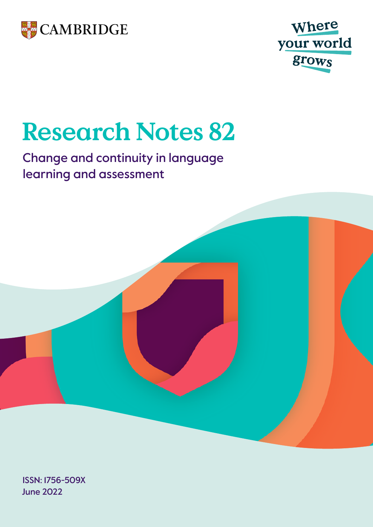



# **Research Notes 82**

## Change and continuity in language learning and assessment



June 2022 ISSN: 1756-509X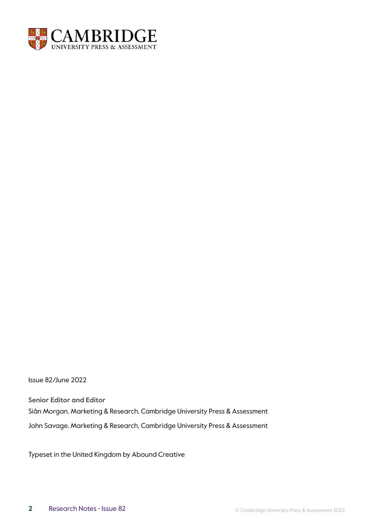

Issue 82/June 2022

**Senior Editor and Editor** Siân Morgan, Marketing & Research, Cambridge University Press & Assessment John Savage, Marketing & Research, Cambridge University Press & Assessment

Typeset in the United Kingdom by Abound Creative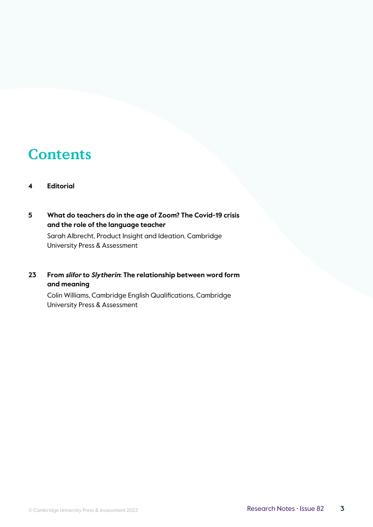## **Contents**

#### **4 [Editorial](#page-3-0)**

#### **5 [What do teachers do in the age of Zoom? The Covid-19 crisis](#page-4-0)  [and the role of the language teacher](#page-4-0)**

Sarah Albrecht, Product Insight and Ideation, Cambridge University Press & Assessment

#### **23 From slifor to Slytherin[: The relationship between word form](#page-22-0)  [and meaning](#page-22-0)**

Colin Williams, Cambridge English Qualifications, Cambridge University Press & Assessment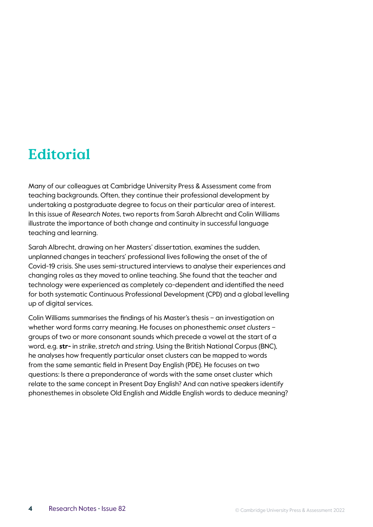## <span id="page-3-0"></span>**Editorial**

Many of our colleagues at Cambridge University Press & Assessment come from teaching backgrounds. Often, they continue their professional development by undertaking a postgraduate degree to focus on their particular area of interest. In this issue of *Research Notes*, two reports from Sarah Albrecht and Colin Williams illustrate the importance of both change and continuity in successful language teaching and learning.

Sarah Albrecht, drawing on her Masters' dissertation, examines the sudden, unplanned changes in teachers' professional lives following the onset of the of Covid-19 crisis. She uses semi-structured interviews to analyse their experiences and changing roles as they moved to online teaching. She found that the teacher and technology were experienced as completely co-dependent and identified the need for both systematic Continuous Professional Development (CPD) and a global levelling up of digital services.

Colin Williams summarises the findings of his Master's thesis – an investigation on whether word forms carry meaning. He focuses on phonesthemic *onset clusters* – groups of two or more consonant sounds which precede a vowel at the start of a word, e.g. **str-** in *strike*, *stretch* and *string*. Using the British National Corpus (BNC), he analyses how frequently particular onset clusters can be mapped to words from the same semantic field in Present Day English (PDE). He focuses on two questions: Is there a preponderance of words with the same onset cluster which relate to the same concept in Present Day English? And can native speakers identify phonesthemes in obsolete Old English and Middle English words to deduce meaning?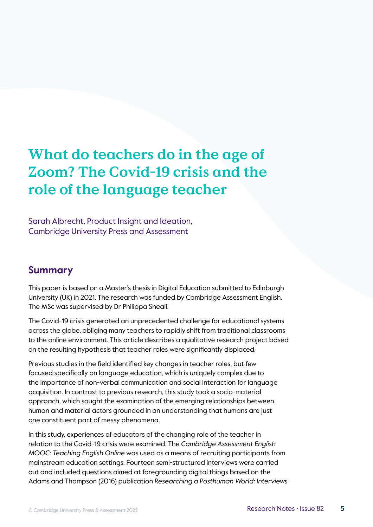## <span id="page-4-0"></span>**What do teachers do in the age of Zoom? The Covid-19 crisis and the role of the language teacher**

Sarah Albrecht, Product Insight and Ideation, Cambridge University Press and Assessment

## **Summary**

This paper is based on a Master's thesis in Digital Education submitted to Edinburgh University (UK) in 2021. The research was funded by Cambridge Assessment English. The MSc was supervised by Dr Philippa Sheail.

The Covid-19 crisis generated an unprecedented challenge for educational systems across the globe, obliging many teachers to rapidly shift from traditional classrooms to the online environment. This article describes a qualitative research project based on the resulting hypothesis that teacher roles were significantly displaced.

Previous studies in the field identified key changes in teacher roles, but few focused specifically on language education, which is uniquely complex due to the importance of non-verbal communication and social interaction for language acquisition. In contrast to previous research, this study took a socio-material approach, which sought the examination of the emerging relationships between human and material actors grounded in an understanding that humans are just one constituent part of messy phenomena.

In this study, experiences of educators of the changing role of the teacher in relation to the Covid-19 crisis were examined. The *Cambridge Assessment English MOOC: Teaching English Online* was used as a means of recruiting participants from mainstream education settings. Fourteen semi-structured interviews were carried out and included questions aimed at foregrounding digital things based on the Adams and Thompson (2016) publication *Researching a Posthuman World: Interviews*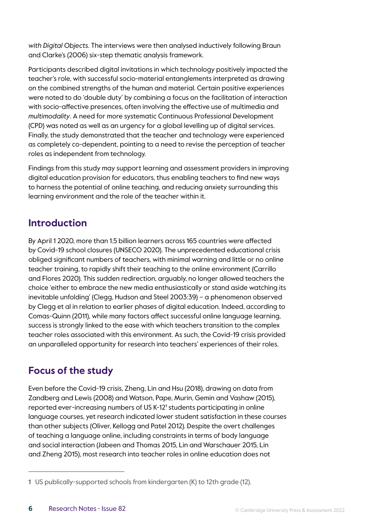*with Digital Objects*. The interviews were then analysed inductively following Braun and Clarke's (2006) six-step thematic analysis framework.

Participants described digital invitations in which technology positively impacted the teacher's role, with successful socio-material entanglements interpreted as drawing on the combined strengths of the human and material. Certain positive experiences were noted to do 'double duty' by combining a focus on the facilitation of interaction with socio-affective presences, often involving the effective use of multimedia and *multimodality*. A need for more systematic Continuous Professional Development (CPD) was noted as well as an urgency for a global levelling up of digital services. Finally, the study demonstrated that the teacher and technology were experienced as completely co-dependent, pointing to a need to revise the perception of teacher roles as independent from technology.

Findings from this study may support learning and assessment providers in improving digital education provision for educators, thus enabling teachers to find new ways to harness the potential of online teaching, and reducing anxiety surrounding this learning environment and the role of the teacher within it.

## **Introduction**

By April 1 2020, more than 1.5 billion learners across 165 countries were affected by Covid-19 school closures (UNSECO 2020). The unprecedented educational crisis obliged significant numbers of teachers, with minimal warning and little or no online teacher training, to rapidly shift their teaching to the online environment (Carrillo and Flores 2020). This sudden redirection, arguably, no longer allowed teachers the choice 'either to embrace the new media enthusiastically or stand aside watching its inevitable unfolding' (Clegg, Hudson and Steel 2003:39) – a phenomenon observed by Clegg et al in relation to earlier phases of digital education. Indeed, according to Comas-Quinn (2011), while many factors affect successful online language learning, success is strongly linked to the ease with which teachers transition to the complex teacher roles associated with this environment. As such, the Covid-19 crisis provided an unparalleled opportunity for research into teachers' experiences of their roles.

## **Focus of the study**

Even before the Covid-19 crisis, Zheng, Lin and Hsu (2018), drawing on data from Zandberg and Lewis (2008) and Watson, Pape, Murin, Gemin and Vashaw (2015), reported ever-increasing numbers of US K-12<sup>1</sup> students participating in online language courses, yet research indicated lower student satisfaction in these courses than other subjects (Oliver, Kellogg and Patel 2012). Despite the overt challenges of teaching a language online, including constraints in terms of body language and social interaction (Jabeen and Thomas 2015, Lin and Warschauer 2015, Lin and Zheng 2015), most research into teacher roles in online education does not

<sup>1</sup> US publically-supported schools from kindergarten (K) to 12th grade (12).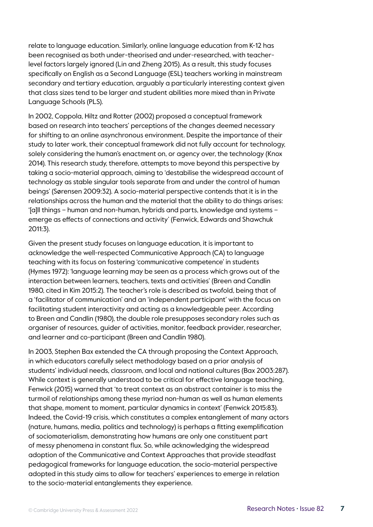relate to language education. Similarly, online language education from K-12 has been recognised as both under-theorised and under-researched, with teacherlevel factors largely ignored (Lin and Zheng 2015). As a result, this study focuses specifically on English as a Second Language (ESL) teachers working in mainstream secondary and tertiary education, arguably a particularly interesting context given that class sizes tend to be larger and student abilities more mixed than in Private Language Schools (PLS).

In 2002, Coppola, Hiltz and Rotter (2002) proposed a conceptual framework based on research into teachers' perceptions of the changes deemed necessary for shifting to an online asynchronous environment. Despite the importance of their study to later work, their conceptual framework did not fully account for technology, solely considering the human's enactment on, or agency over, the technology (Knox 2014). This research study, therefore, attempts to move beyond this perspective by taking a socio-material approach, aiming to 'destabilise the widespread account of technology as stable singular tools separate from and under the control of human beings' (Sørensen 2009:32). A socio-material perspective contends that it is in the relationships across the human and the material that the ability to do things arises: '[a]ll things – human and non-human, hybrids and parts, knowledge and systems – emerge as effects of connections and activity' (Fenwick, Edwards and Shawchuk 2011:3).

Given the present study focuses on language education, it is important to acknowledge the well-respected Communicative Approach (CA) to language teaching with its focus on fostering 'communicative competence' in students (Hymes 1972): 'language learning may be seen as a process which grows out of the interaction between learners, teachers, texts and activities' (Breen and Candlin 1980, cited in Kim 2015:2). The teacher's role is described as twofold, being that of a 'facilitator of communication' and an 'independent participant' with the focus on facilitating student interactivity and acting as a knowledgeable peer. According to Breen and Candlin (1980), the double role presupposes secondary roles such as organiser of resources, guider of activities, monitor, feedback provider, researcher, and learner and co-participant (Breen and Candlin 1980).

In 2003, Stephen Bax extended the CA through proposing the Context Approach, in which educators carefully select methodology based on a prior analysis of students' individual needs, classroom, and local and national cultures (Bax 2003:287). While context is generally understood to be critical for effective language teaching, Fenwick (2015) warned that 'to treat context as an abstract container is to miss the turmoil of relationships among these myriad non-human as well as human elements that shape, moment to moment, particular dynamics in context' (Fenwick 2015:83). Indeed, the Covid-19 crisis, which constitutes a complex entanglement of many actors (nature, humans, media, politics and technology) is perhaps a fitting exemplification of sociomaterialism, demonstrating how humans are only one constituent part of messy phenomena in constant flux. So, while acknowledging the widespread adoption of the Communicative and Context Approaches that provide steadfast pedagogical frameworks for language education, the socio-material perspective adopted in this study aims to allow for teachers' experiences to emerge in relation to the socio-material entanglements they experience.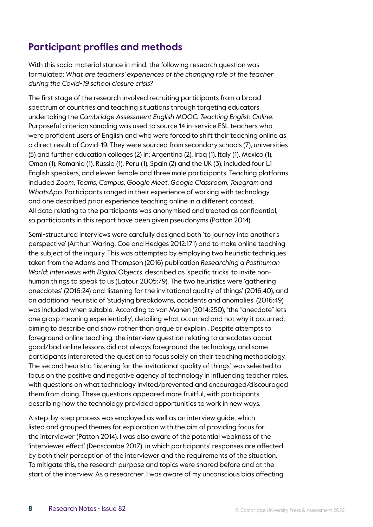## **Participant profiles and methods**

With this socio-material stance in mind, the following research question was formulated: *What are teachers' experiences of the changing role of the teacher during the Covid-19 school closure crisis?*

The first stage of the research involved recruiting participants from a broad spectrum of countries and teaching situations through targeting educators undertaking the *Cambridge Assessment English MOOC: Teaching English Online*. Purposeful criterion sampling was used to source 14 in-service ESL teachers who were proficient users of English and who were forced to shift their teaching online as a direct result of Covid-19. They were sourced from secondary schools (7), universities (5) and further education colleges (2) in: Argentina (2), Iraq (1), Italy (1), Mexico (1), Oman (1), Romania (1), Russia (1), Peru (1), Spain (2) and the UK (3), included four L1 English speakers, and eleven female and three male participants. Teaching platforms included *Zoom*, *Teams*, *Campus*, *Google Meet*, *Google Classroom*, *Telegram* and *WhatsApp*. Participants ranged in their experience of working with technology and one described prior experience teaching online in a different context. All data relating to the participants was anonymised and treated as confidential, so participants in this report have been given pseudonyms (Patton 2014).

Semi-structured interviews were carefully designed both 'to journey into another's perspective' (Arthur, Waring, Coe and Hedges 2012:171) and to make online teaching the subject of the inquiry. This was attempted by employing two heuristic techniques taken from the Adams and Thompson (2016) publication *Researching a Posthuman World: Interviews with Digital Objects*, described as 'specific tricks' to invite nonhuman things to speak to us (Latour 2005:79). The two heuristics were 'gathering anecdotes' (2016:24) and 'listening for the invitational quality of things' (2016:40), and an additional heuristic of 'studying breakdowns, accidents and anomalies' (2016:49) was included when suitable. According to van Manen (2014:250), 'the "anecdote" lets one grasp meaning experientially', detailing what occurred and not why it occurred, aiming to describe and show rather than argue or explain . Despite attempts to foreground online teaching, the interview question relating to anecdotes about good/bad online lessons did not always foreground the technology, and some participants interpreted the question to focus solely on their teaching methodology. The second heuristic, 'listening for the invitational quality of things', was selected to focus on the positive and negative agency of technology in influencing teacher roles, with questions on what technology invited/prevented and encouraged/discouraged them from doing. These questions appeared more fruitful, with participants describing how the technology provided opportunities to work in new ways.

A step-by-step process was employed as well as an interview guide, which listed and grouped themes for exploration with the aim of providing focus for the interviewer (Patton 2014). I was also aware of the potential weakness of the 'interviewer effect' (Denscombe 2017), in which participants' responses are affected by both their perception of the interviewer and the requirements of the situation. To mitigate this, the research purpose and topics were shared before and at the start of the interview. As a researcher, I was aware of my unconscious bias affecting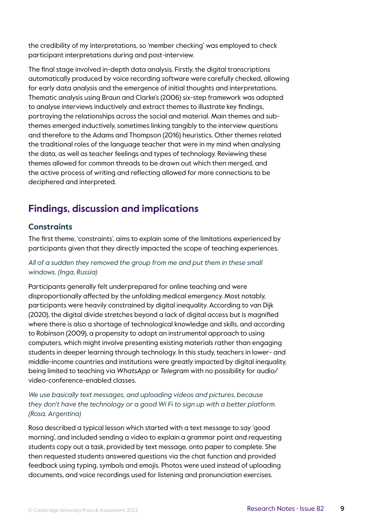the credibility of my interpretations, so 'member checking' was employed to check participant interpretations during and post-interview.

The final stage involved in-depth data analysis. Firstly, the digital transcriptions automatically produced by voice recording software were carefully checked, allowing for early data analysis and the emergence of initial thoughts and interpretations. Thematic analysis using Braun and Clarke's (2006) six-step framework was adopted to analyse interviews inductively and extract themes to illustrate key findings, portraying the relationships across the social and material. Main themes and subthemes emerged inductively, sometimes linking tangibly to the interview questions and therefore to the Adams and Thompson (2016) heuristics. Other themes related the traditional roles of the language teacher that were in my mind when analysing the data, as well as teacher feelings and types of technology. Reviewing these themes allowed for common threads to be drawn out which then merged, and the active process of writing and reflecting allowed for more connections to be deciphered and interpreted.

## **Findings, discussion and implications**

#### **Constraints**

The first theme, 'constraints', aims to explain some of the limitations experienced by participants given that they directly impacted the scope of teaching experiences.

#### *All of a sudden they removed the group from me and put them in these small windows. (Inga, Russia)*

Participants generally felt underprepared for online teaching and were disproportionally affected by the unfolding medical emergency. Most notably, participants were heavily constrained by digital inequality. According to van Dijk (2020), the digital divide stretches beyond a lack of digital access but is magnified where there is also a shortage of technological knowledge and skills, and according to Robinson (2009), a propensity to adopt an instrumental approach to using computers, which might involve presenting existing materials rather than engaging students in deeper learning through technology. In this study, teachers in lower- and middle-income countries and institutions were greatly impacted by digital inequality, being limited to teaching via *WhatsApp* or *Telegram* with no possibility for audio/ video-conference-enabled classes.

#### *We use basically text messages, and uploading videos and pictures, because they don't have the technology or a good Wi Fi to sign up with a better platform. (Rosa, Argentina)*

Rosa described a typical lesson which started with a text message to say 'good morning', and included sending a video to explain a grammar point and requesting students copy out a task, provided by text message, onto paper to complete. She then requested students answered questions via the chat function and provided feedback using typing, symbols and emojis. Photos were used instead of uploading documents, and voice recordings used for listening and pronunciation exercises.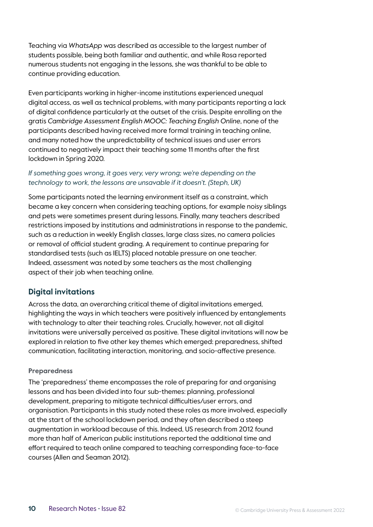Teaching via *WhatsApp* was described as accessible to the largest number of students possible, being both familiar and authentic, and while Rosa reported numerous students not engaging in the lessons, she was thankful to be able to continue providing education.

Even participants working in higher-income institutions experienced unequal digital access, as well as technical problems, with many participants reporting a lack of digital confidence particularly at the outset of the crisis. Despite enrolling on the gratis *Cambridge Assessment English MOOC: Teaching English Online*, none of the participants described having received more formal training in teaching online, and many noted how the unpredictability of technical issues and user errors continued to negatively impact their teaching some 11 months after the first lockdown in Spring 2020.

#### If something goes wrong, it goes very, very wrong; we're depending on the *technology to work, the lessons are unsavable if it doesn't. (Steph, UK)*

Some participants noted the learning environment itself as a constraint, which became a key concern when considering teaching options, for example noisy siblings and pets were sometimes present during lessons. Finally, many teachers described restrictions imposed by institutions and administrations in response to the pandemic, such as a reduction in weekly English classes, large class sizes, no camera policies or removal of official student grading. A requirement to continue preparing for standardised tests (such as IELTS) placed notable pressure on one teacher. Indeed, assessment was noted by some teachers as the most challenging aspect of their job when teaching online.

#### **Digital invitations**

Across the data, an overarching critical theme of digital invitations emerged, highlighting the ways in which teachers were positively influenced by entanglements with technology to alter their teaching roles. Crucially, however, not all digital invitations were universally perceived as positive. These digital invitations will now be explored in relation to five other key themes which emerged: preparedness, shifted communication, facilitating interaction, monitoring, and socio-affective presence.

#### **Preparedness**

The 'preparedness' theme encompasses the role of preparing for and organising lessons and has been divided into four sub-themes: planning, professional development, preparing to mitigate technical difficulties/user errors, and organisation. Participants in this study noted these roles as more involved, especially at the start of the school lockdown period, and they often described a steep augmentation in workload because of this. Indeed, US research from 2012 found more than half of American public institutions reported the additional time and effort required to teach online compared to teaching corresponding face-to-face courses (Allen and Seaman 2012).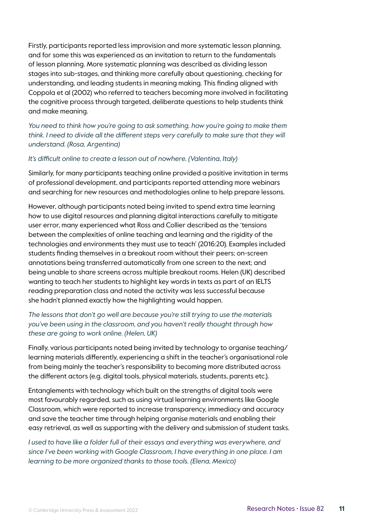Firstly, participants reported less improvision and more systematic lesson planning, and for some this was experienced as an invitation to return to the fundamentals of lesson planning. More systematic planning was described as dividing lesson stages into sub-stages, and thinking more carefully about questioning, checking for understanding, and leading students in meaning making. This finding aligned with Coppola et al (2002) who referred to teachers becoming more involved in facilitating the cognitive process through targeted, deliberate questions to help students think and make meaning.

*You need to think how you're going to ask something, how you're going to make them*  think. I need to divide all the different steps very carefully to make sure that they will *understand. (Rosa, Argentina)*

#### *It's difficult online to create a lesson out of nowhere. (Valentina, Italy)*

Similarly, for many participants teaching online provided a positive invitation in terms of professional development, and participants reported attending more webinars and searching for new resources and methodologies online to help prepare lessons.

However, although participants noted being invited to spend extra time learning how to use digital resources and planning digital interactions carefully to mitigate user error, many experienced what Ross and Collier described as the 'tensions between the complexities of online teaching and learning and the rigidity of the technologies and environments they must use to teach' (2016:20). Examples included students finding themselves in a breakout room without their peers; on-screen annotations being transferred automatically from one screen to the next; and being unable to share screens across multiple breakout rooms. Helen (UK) described wanting to teach her students to highlight key words in texts as part of an IELTS reading preparation class and noted the activity was less successful because she hadn't planned exactly how the highlighting would happen.

#### *The lessons that don't go well are because you're still trying to use the materials you've been using in the classroom, and you haven't really thought through how these are going to work online. (Helen, UK)*

Finally, various participants noted being invited by technology to organise teaching/ learning materials differently, experiencing a shift in the teacher's organisational role from being mainly the teacher's responsibility to becoming more distributed across the different actors (e.g. digital tools, physical materials, students, parents etc.).

Entanglements with technology which built on the strengths of digital tools were most favourably regarded, such as using virtual learning environments like Google Classroom, which were reported to increase transparency, immediacy and accuracy and save the teacher time through helping organise materials and enabling their easy retrieval, as well as supporting with the delivery and submission of student tasks.

*I* used to have like a folder full of their essays and everything was everywhere, and *since I've been working with Google Classroom, I have everything in one place. I am learning to be more organized thanks to those tools. (Elena, Mexico)*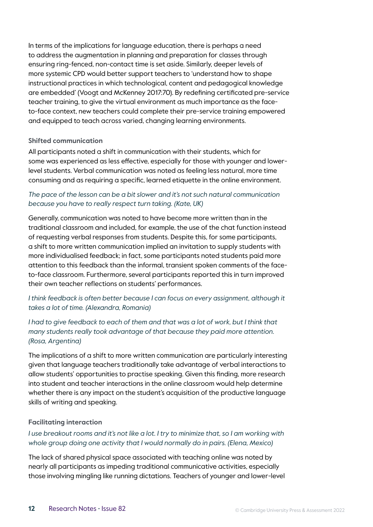In terms of the implications for language education, there is perhaps a need to address the augmentation in planning and preparation for classes through ensuring ring-fenced, non-contact time is set aside. Similarly, deeper levels of more systemic CPD would better support teachers to 'understand how to shape instructional practices in which technological, content and pedagogical knowledge are embedded' (Voogt and McKenney 2017:70). By redefining certificated pre-service teacher training, to give the virtual environment as much importance as the faceto-face context, new teachers could complete their pre-service training empowered and equipped to teach across varied, changing learning environments.

#### **Shifted communication**

All participants noted a shift in communication with their students, which for some was experienced as less effective, especially for those with younger and lowerlevel students. Verbal communication was noted as feeling less natural, more time consuming and as requiring a specific, learned etiquette in the online environment.

#### *The pace of the lesson can be a bit slower and it's not such natural communication because you have to really respect turn taking. (Kate, UK)*

Generally, communication was noted to have become more written than in the traditional classroom and included, for example, the use of the chat function instead of requesting verbal responses from students. Despite this, for some participants, a shift to more written communication implied an invitation to supply students with more individualised feedback; in fact, some participants noted students paid more attention to this feedback than the informal, transient spoken comments of the faceto-face classroom. Furthermore, several participants reported this in turn improved their own teacher reflections on students' performances.

#### *I think feedback is often better because I can focus on every assignment, although it takes a lot of time. (Alexandra, Romania)*

*I had to give feedback to each of them and that was a lot of work, but I think that many students really took advantage of that because they paid more attention. (Rosa, Argentina)*

The implications of a shift to more written communication are particularly interesting given that language teachers traditionally take advantage of verbal interactions to allow students' opportunities to practise speaking. Given this finding, more research into student and teacher interactions in the online classroom would help determine whether there is any impact on the student's acquisition of the productive language skills of writing and speaking.

#### **Facilitating interaction**

#### *I* use breakout rooms and it's not like a lot. I try to minimize that, so I am working with *whole group doing one activity that I would normally do in pairs. (Elena, Mexico)*

The lack of shared physical space associated with teaching online was noted by nearly all participants as impeding traditional communicative activities, especially those involving mingling like running dictations. Teachers of younger and lower-level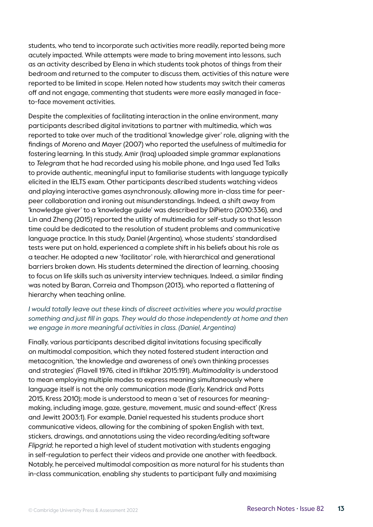students, who tend to incorporate such activities more readily, reported being more acutely impacted. While attempts were made to bring movement into lessons, such as an activity described by Elena in which students took photos of things from their bedroom and returned to the computer to discuss them, activities of this nature were reported to be limited in scope. Helen noted how students may switch their cameras off and not engage, commenting that students were more easily managed in faceto-face movement activities.

Despite the complexities of facilitating interaction in the online environment, many participants described digital invitations to partner with multimedia, which was reported to take over much of the traditional 'knowledge giver' role, aligning with the findings of Moreno and Mayer (2007) who reported the usefulness of multimedia for fostering learning. In this study, Amir (Iraq) uploaded simple grammar explanations to *Telegram* that he had recorded using his mobile phone, and Inga used Ted Talks to provide authentic, meaningful input to familiarise students with language typically elicited in the IELTS exam. Other participants described students watching videos and playing interactive games asynchronously, allowing more in-class time for peerpeer collaboration and ironing out misunderstandings. Indeed, a shift away from 'knowledge giver' to a 'knowledge guide' was described by DiPietro (2010:336), and Lin and Zheng (2015) reported the utility of multimedia for self-study so that lesson time could be dedicated to the resolution of student problems and communicative language practice. In this study, Daniel (Argentina), whose students' standardised tests were put on hold, experienced a complete shift in his beliefs about his role as a teacher. He adopted a new 'facilitator' role, with hierarchical and generational barriers broken down. His students determined the direction of learning, choosing to focus on life skills such as university interview techniques. Indeed, a similar finding was noted by Baran, Correia and Thompson (2013), who reported a flattening of hierarchy when teaching online.

#### *I would totally leave out these kinds of discreet activities where you would practise something and just fill in gaps. They would do those independently at home and then we engage in more meaningful activities in class. (Daniel, Argentina)*

Finally, various participants described digital invitations focusing specifically on multimodal composition, which they noted fostered student interaction and metacognition, 'the knowledge and awareness of one's own thinking processes and strategies' (Flavell 1976, cited in Iftikhar 2015:191). *Multimodality* is understood to mean employing multiple modes to express meaning simultaneously where language itself is not the only communication mode (Early, Kendrick and Potts 2015, Kress 2010); mode is understood to mean a 'set of resources for meaningmaking, including image, gaze, gesture, movement, music and sound-effect' (Kress and Jewitt 2003:1). For example, Daniel requested his students produce short communicative videos, allowing for the combining of spoken English with text, stickers, drawings, and annotations using the video recording/editing software *Flipgrid*; he reported a high level of student motivation with students engaging in self-regulation to perfect their videos and provide one another with feedback. Notably, he perceived multimodal composition as more natural for his students than in-class communication, enabling shy students to participant fully and maximising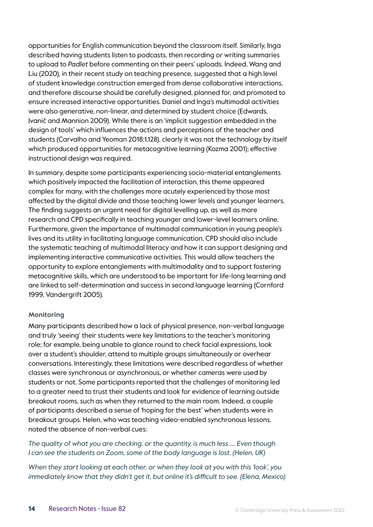opportunities for English communication beyond the classroom itself. Similarly, Inga described having students listen to podcasts, then recording or writing summaries to upload to *Padlet* before commenting on their peers' uploads. Indeed, Wang and Liu (2020), in their recent study on teaching presence, suggested that a high level of student knowledge construction emerged from dense collaborative interactions, and therefore discourse should be carefully designed, planned for, and promoted to ensure increased interactive opportunities. Daniel and Inga's multimodal activities were also generative, non-linear, and determined by student choice (Edwards, Ivanič and Mannion 2009). While there is an 'implicit suggestion embedded in the design of tools' which influences the actions and perceptions of the teacher and students (Carvalho and Yeoman 2018:1,128), clearly it was not the technology by itself which produced opportunities for metacognitive learning (Kozma 2001); effective instructional design was required.

In summary, despite some participants experiencing socio-material entanglements which positively impacted the facilitation of interaction, this theme appeared complex for many, with the challenges more acutely experienced by those most affected by the digital divide and those teaching lower levels and younger learners. The finding suggests an urgent need for digital levelling up, as well as more research and CPD specifically in teaching younger and lower-level learners online. Furthermore, given the importance of multimodal communication in young people's lives and its utility in facilitating language communication, CPD should also include the systematic teaching of multimodal literacy and how it can support designing and implementing interactive communicative activities. This would allow teachers the opportunity to explore entanglements with multimodality and to support fostering metacognitive skills, which are understood to be important for life-long learning and are linked to self-determination and success in second language learning (Cornford 1999, Vandergrift 2005).

#### **Monitoring**

Many participants described how a lack of physical presence, non-verbal language and truly 'seeing' their students were key limitations to the teacher's monitoring role; for example, being unable to glance round to check facial expressions, look over a student's shoulder, attend to multiple groups simultaneously or overhear conversations. Interestingly, these limitations were described regardless of whether classes were synchronous or asynchronous, or whether cameras were used by students or not. Some participants reported that the challenges of monitoring led to a greater need to trust their students and look for evidence of learning outside breakout rooms, such as when they returned to the main room. Indeed, a couple of participants described a sense of 'hoping for the best' when students were in breakout groups. Helen, who was teaching video-enabled synchronous lessons, noted the absence of non-verbal cues:

*The quality of what you are checking, or the quantity, is much less …. Even though I can see the students on Zoom, some of the body language is lost. (Helen, UK)*

*When they start looking at each other, or when they look at you with this 'look', you immediately know that they didn't get it, but online it's difficult to see. (Elena, Mexico)*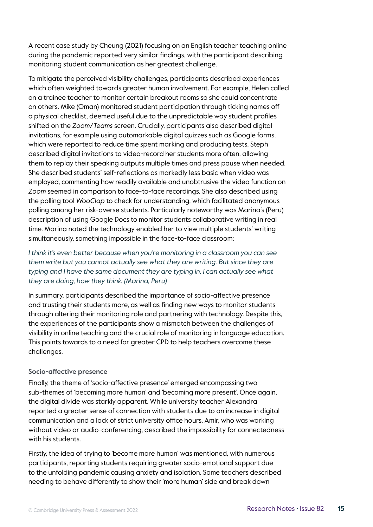A recent case study by Cheung (2021) focusing on an English teacher teaching online during the pandemic reported very similar findings, with the participant describing monitoring student communication as her greatest challenge.

To mitigate the perceived visibility challenges, participants described experiences which often weighted towards greater human involvement. For example, Helen called on a trainee teacher to monitor certain breakout rooms so she could concentrate on others. Mike (Oman) monitored student participation through ticking names off a physical checklist, deemed useful due to the unpredictable way student profiles shifted on the *Zoom*/*Teams* screen. Crucially, participants also described digital invitations, for example using automarkable digital quizzes such as Google forms, which were reported to reduce time spent marking and producing tests. Steph described digital invitations to video-record her students more often, allowing them to replay their speaking outputs multiple times and press pause when needed. She described students' self-reflections as markedly less basic when video was employed, commenting how readily available and unobtrusive the video function on *Zoom* seemed in comparison to face-to-face recordings. She also described using the polling tool *WooClap* to check for understanding, which facilitated anonymous polling among her risk-averse students. Particularly noteworthy was Marina's (Peru) description of using Google Docs to monitor students collaborative writing in real time. Marina noted the technology enabled her to view multiple students' writing simultaneously, something impossible in the face-to-face classroom:

*I think it's even better because when you're monitoring in a classroom you can see them write but you cannot actually see what they are writing. But since they are typing and I have the same document they are typing in, I can actually see what they are doing, how they think. (Marina, Peru)*

In summary, participants described the importance of socio-affective presence and trusting their students more, as well as finding new ways to monitor students through altering their monitoring role and partnering with technology. Despite this, the experiences of the participants show a mismatch between the challenges of visibility in online teaching and the crucial role of monitoring in language education. This points towards to a need for greater CPD to help teachers overcome these challenges.

#### **Socio-affective presence**

Finally, the theme of 'socio-affective presence' emerged encompassing two sub-themes of 'becoming more human' and 'becoming more present'. Once again, the digital divide was starkly apparent. While university teacher Alexandra reported a greater sense of connection with students due to an increase in digital communication and a lack of strict university office hours, Amir, who was working without video or audio-conferencing, described the impossibility for connectedness with his students.

Firstly, the idea of trying to 'become more human' was mentioned, with numerous participants, reporting students requiring greater socio-emotional support due to the unfolding pandemic causing anxiety and isolation. Some teachers described needing to behave differently to show their 'more human' side and break down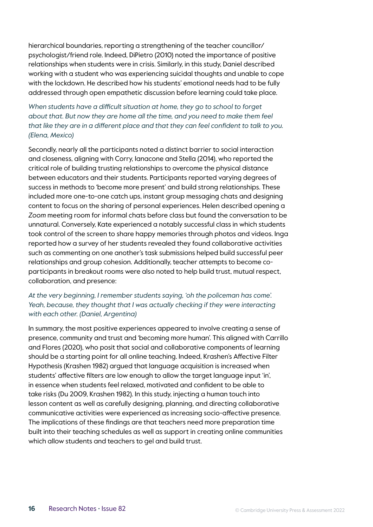hierarchical boundaries, reporting a strengthening of the teacher councillor/ psychologist/friend role. Indeed, DiPietro (2010) noted the importance of positive relationships when students were in crisis. Similarly, in this study, Daniel described working with a student who was experiencing suicidal thoughts and unable to cope with the lockdown. He described how his students' emotional needs had to be fully addressed through open empathetic discussion before learning could take place.

*When students have a difficult situation at home, they go to school to forget about that. But now they are home all the time, and you need to make them feel that like they are in a different place and that they can feel confident to talk to you. (Elena, Mexico)*

Secondly, nearly all the participants noted a distinct barrier to social interaction and closeness, aligning with Corry, Ianacone and Stella (2014), who reported the critical role of building trusting relationships to overcome the physical distance between educators and their students. Participants reported varying degrees of success in methods to 'become more present' and build strong relationships. These included more one-to-one catch ups, instant group messaging chats and designing content to focus on the sharing of personal experiences. Helen described opening a *Zoom* meeting room for informal chats before class but found the conversation to be unnatural. Conversely, Kate experienced a notably successful class in which students took control of the screen to share happy memories through photos and videos. Inga reported how a survey of her students revealed they found collaborative activities such as commenting on one another's task submissions helped build successful peer relationships and group cohesion. Additionally, teacher attempts to become coparticipants in breakout rooms were also noted to help build trust, mutual respect, collaboration, and presence:

#### *At the very beginning, I remember students saying, 'oh the policeman has come'.*  Yeah, because, they thought that I was actually checking if they were interacting *with each other. (Daniel, Argentina)*

In summary, the most positive experiences appeared to involve creating a sense of presence, community and trust and 'becoming more human'. This aligned with Carrillo and Flores (2020), who posit that social and collaborative components of learning should be a starting point for all online teaching. Indeed, Krashen's Affective Filter Hypothesis (Krashen 1982) argued that language acquisition is increased when students' affective filters are low enough to allow the target language input 'in', in essence when students feel relaxed, motivated and confident to be able to take risks (Du 2009, Krashen 1982). In this study, injecting a human touch into lesson content as well as carefully designing, planning, and directing collaborative communicative activities were experienced as increasing socio-affective presence. The implications of these findings are that teachers need more preparation time built into their teaching schedules as well as support in creating online communities which allow students and teachers to gel and build trust.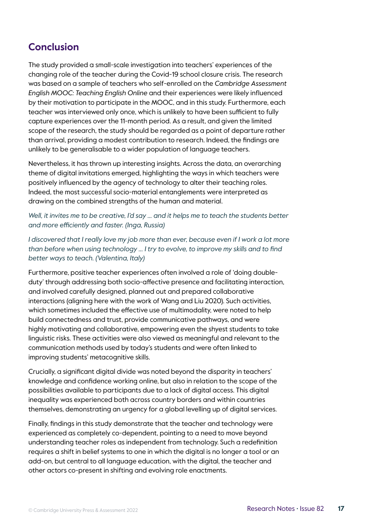## **Conclusion**

The study provided a small-scale investigation into teachers' experiences of the changing role of the teacher during the Covid-19 school closure crisis. The research was based on a sample of teachers who self-enrolled on the *Cambridge Assessment English MOOC: Teaching English Online* and their experiences were likely influenced by their motivation to participate in the MOOC, and in this study. Furthermore, each teacher was interviewed only once, which is unlikely to have been sufficient to fully capture experiences over the 11-month period. As a result, and given the limited scope of the research, the study should be regarded as a point of departure rather than arrival, providing a modest contribution to research. Indeed, the findings are unlikely to be generalisable to a wider population of language teachers.

Nevertheless, it has thrown up interesting insights. Across the data, an overarching theme of digital invitations emerged, highlighting the ways in which teachers were positively influenced by the agency of technology to alter their teaching roles. Indeed, the most successful socio-material entanglements were interpreted as drawing on the combined strengths of the human and material.

*Well, it invites me to be creative, I'd say … and it helps me to teach the students better and more efficiently and faster. (Inga, Russia)*

I discovered that I really love my job more than ever, because even if I work a lot more *than before when using technology … I try to evolve, to improve my skills and to find better ways to teach. (Valentina, Italy)*

Furthermore, positive teacher experiences often involved a role of 'doing doubleduty' through addressing both socio-affective presence and facilitating interaction, and involved carefully designed, planned out and prepared collaborative interactions (aligning here with the work of Wang and Liu 2020). Such activities, which sometimes included the effective use of multimodality, were noted to help build connectedness and trust, provide communicative pathways, and were highly motivating and collaborative, empowering even the shyest students to take linguistic risks. These activities were also viewed as meaningful and relevant to the communication methods used by today's students and were often linked to improving students' metacognitive skills.

Crucially, a significant digital divide was noted beyond the disparity in teachers' knowledge and confidence working online, but also in relation to the scope of the possibilities available to participants due to a lack of digital access. This digital inequality was experienced both across country borders and within countries themselves, demonstrating an urgency for a global levelling up of digital services.

Finally, findings in this study demonstrate that the teacher and technology were experienced as completely co-dependent, pointing to a need to move beyond understanding teacher roles as independent from technology. Such a redefinition requires a shift in belief systems to one in which the digital is no longer a tool or an add-on, but central to all language education, with the digital, the teacher and other actors co-present in shifting and evolving role enactments.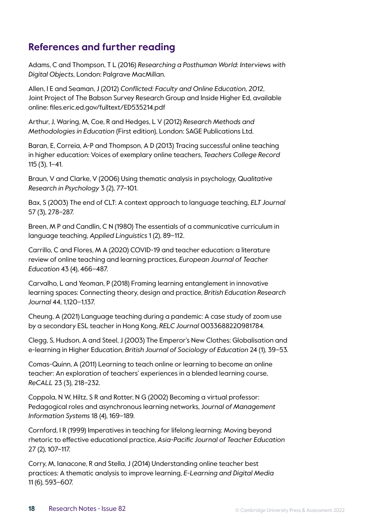## **References and further reading**

Adams, C and Thompson, T L (2016) *Researching a Posthuman World: Interviews with Digital Objects*, London: Palgrave MacMillan.

Allen, I E and Seaman, J (2012) *Conflicted: Faculty and Online Education, 2012*, Joint Project of The Babson Survey Research Group and Inside Higher Ed, available online: files.eric.ed.gov/fulltext/ED535214.pdf

Arthur, J, Waring, M, Coe, R and Hedges, L V (2012) *Research Methods and Methodologies in Education* (First edition), London: SAGE Publications Ltd.

Baran, E, Correia, A-P and Thompson, A D (2013) Tracing successful online teaching in higher education: Voices of exemplary online teachers, *Teachers College Record* 115 (3), 1–41.

Braun, V and Clarke, V (2006) Using thematic analysis in psychology, *Qualitative Research in Psychology* 3 (2), 77–101.

Bax, S (2003) The end of CLT: A context approach to language teaching, *ELT Journal* 57 (3), 278–287.

Breen, M P and Candlin, C N (1980) The essentials of a communicative curriculum in language teaching, *Applied Linguistics* 1 (2), 89–112.

Carrillo, C and Flores, M A (2020) COVID-19 and teacher education: a literature review of online teaching and learning practices, *European Journal of Teacher Education* 43 (4), 466–487.

Carvalho, L and Yeoman, P (2018) Framing learning entanglement in innovative learning spaces: Connecting theory, design and practice, *British Education Research Journal* 44, 1,120–1,137.

Cheung, A (2021) Language teaching during a pandemic: A case study of zoom use by a secondary ESL teacher in Hong Kong, *RELC Journal* 0033688220981784.

Clegg, S, Hudson, A and Steel, J (2003) The Emperor's New Clothes: Globalisation and e-learning in Higher Education, *British Journal of Sociology of Education* 24 (1), 39–53.

Comas-Quinn, A (2011) Learning to teach online or learning to become an online teacher: An exploration of teachers' experiences in a blended learning course, *ReCALL* 23 (3), 218–232.

Coppola, N W, Hiltz, S R and Rotter, N G (2002) Becoming a virtual professor: Pedagogical roles and asynchronous learning networks, J*ournal of Management Information Systems* 18 (4), 169–189.

Cornford, I R (1999) Imperatives in teaching for lifelong learning: Moving beyond rhetoric to effective educational practice, *Asia-Pacific Journal of Teacher Education* 27 (2), 107–117.

Corry, M, Ianacone, R and Stella, J (2014) Understanding online teacher best practices: A thematic analysis to improve learning, *E-Learning and Digital Media* 11 (6), 593–607.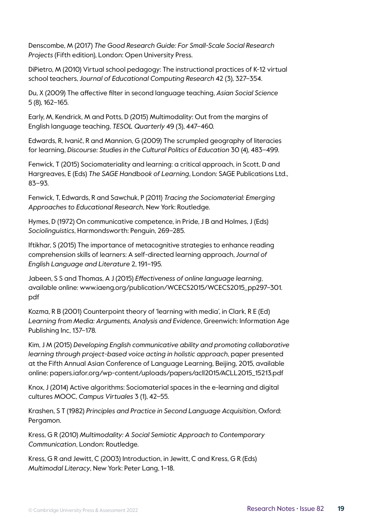Denscombe, M (2017) *The Good Research Guide: For Small-Scale Social Research Projects* (Fifth edition), London: Open University Press.

DiPietro, M (2010) Virtual school pedagogy: The instructional practices of K-12 virtual school teachers, *Journal of Educational Computing Research* 42 (3), 327–354.

Du, X (2009) The affective filter in second language teaching, *Asian Social Science* 5 (8), 162–165.

Early, M, Kendrick, M and Potts, D (2015) Multimodality: Out from the margins of English language teaching, *TESOL Quarterly* 49 (3), 447–460.

Edwards, R, Ivanič, R and Mannion, G (2009) The scrumpled geography of literacies for learning, *Discourse: Studies in the Cultural Politics of Education* 30 (4), 483–499.

Fenwick, T (2015) Sociomateriality and learning: a critical approach, in Scott, D and Hargreaves, E (Eds) *The SAGE Handbook of Learning*, London: SAGE Publications Ltd., 83–93.

Fenwick, T, Edwards, R and Sawchuk, P (2011) *Tracing the Sociomaterial: Emerging Approaches to Educational Research*, New York: Routledge.

Hymes, D (1972) On communicative competence, in Pride, J B and Holmes, J (Eds) *Sociolinguistics*, Harmondsworth: Penguin, 269–285.

Iftikhar, S (2015) The importance of metacognitive strategies to enhance reading comprehension skills of learners: A self-directed learning approach, *Journal of English Language and Literature* 2, 191–195.

Jabeen, S S and Thomas, A J (2015) *Effectiveness of online language learning*, available online: [www.iaeng.org/publication/WCECS2015/WCECS2015\\_pp297–301.](http://www.iaeng.org/publication/WCECS2015/WCECS2015_pp297-301.pdf) [pdf](http://www.iaeng.org/publication/WCECS2015/WCECS2015_pp297-301.pdf)

Kozma, R B (2001) Counterpoint theory of 'learning with media', in Clark, R E (Ed) *Learning from Media: Arguments, Analysis and Evidence*, Greenwich: Information Age Publishing Inc, 137–178.

Kim, J M (2015) *Developing English communicative ability and promoting collaborative learning through project-based voice acting in holistic approach*, paper presented at the Fifth Annual Asian Conference of Language Learning, Beijing, 2015, available online: [papers.iafor.org/wp-content/uploads/papers/acll2015/ACLL2015\\_15213.pdf](http://papers.iafor.org/wp-content/uploads/papers/acll2015/ACLL2015_15213.pdf)

Knox, J (2014) Active algorithms: Sociomaterial spaces in the e-learning and digital cultures MOOC, *Campus Virtuales* 3 (1), 42–55.

Krashen, S T (1982) *Principles and Practice in Second Language Acquisition*, Oxford: Pergamon.

Kress, G R (2010) *Multimodality: A Social Semiotic Approach to Contemporary Communication*, London: Routledge.

Kress, G R and Jewitt, C (2003) Introduction, in Jewitt, C and Kress, G R (Eds) *Multimodal Literacy*, New York: Peter Lang, 1–18.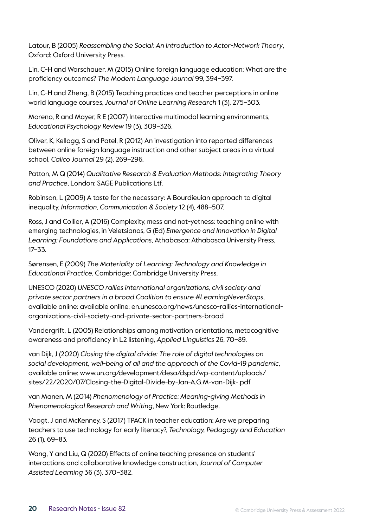Latour, B (2005) *Reassembling the Social: An Introduction to Actor-Network Theory*, Oxford: Oxford University Press.

Lin, C-H and Warschauer, M (2015) Online foreign language education: What are the proficiency outcomes? *The Modern Language Journal* 99, 394–397.

Lin, C-H and Zheng, B (2015) Teaching practices and teacher perceptions in online world language courses, *Journal of Online Learning Research* 1 (3), 275–303.

Moreno, R and Mayer, R E (2007) Interactive multimodal learning environments, *Educational Psychology Review* 19 (3), 309–326.

Oliver, K, Kellogg, S and Patel, R (2012) An investigation into reported differences between online foreign language instruction and other subject areas in a virtual school, *Calico Journal* 29 (2), 269–296.

Patton, M Q (2014) *Qualitative Research & Evaluation Methods: Integrating Theory and Practice*, London: SAGE Publications Ltf.

Robinson, L (2009) A taste for the necessary: A Bourdieuian approach to digital inequality, *Information, Communication & Society* 12 (4), 488–507.

Ross, J and Collier, A (2016) Complexity, mess and not-yetness: teaching online with emerging technologies, in Veletsianos, G (Ed) *Emergence and Innovation in Digital Learning: Foundations and Applications*, Athabasca: Athabasca University Press, 17–33.

Sørensen, E (2009) *The Materiality of Learning: Technology and Knowledge in Educational Practice*, Cambridge: Cambridge University Press.

UNESCO (2020) *UNESCO rallies international organizations, civil society and private sector partners in a broad Coalition to ensure #LearningNeverStops*, available online: available online: [en.unesco.org/news/unesco-rallies-international](http://en.unesco.org/news/unesco-rallies-international-organizations-civil-society-and-private-sector-partn)[organizations-civil-society-and-private-sector-partners-broad](http://en.unesco.org/news/unesco-rallies-international-organizations-civil-society-and-private-sector-partn)

Vandergrift, L (2005) Relationships among motivation orientations, metacognitive awareness and proficiency in L2 listening, *Applied Linguistics* 26, 70–89.

van Dijk, J (2020) *Closing the digital divide: The role of digital technologies on social development, well-being of all and the approach of the Covid-19 pandemic*, available online: [www.un.org/development/desa/dspd/wp-content/uploads/](http://www.un.org/development/desa/dspd/wp-content/uploads/sites/22/2020/07/Closing-the-Digital-Divide-by-Jan-A.G.M-van-Dijk-.pdf) [sites/22/2020/07/Closing-the-Digital-Divide-by-Jan-A.G.M-van-Dijk-.pdf](http://www.un.org/development/desa/dspd/wp-content/uploads/sites/22/2020/07/Closing-the-Digital-Divide-by-Jan-A.G.M-van-Dijk-.pdf)

van Manen, M (2014) *Phenomenology of Practice: Meaning-giving Methods in Phenomenological Research and Writing*, New York: Routledge.

Voogt, J and McKenney, S (2017) TPACK in teacher education: Are we preparing teachers to use technology for early literacy?, *Technology, Pedagogy and Education* 26 (1), 69–83.

Wang, Y and Liu, Q (2020) Effects of online teaching presence on students' interactions and collaborative knowledge construction, *Journal of Computer Assisted Learning* 36 (3), 370–382.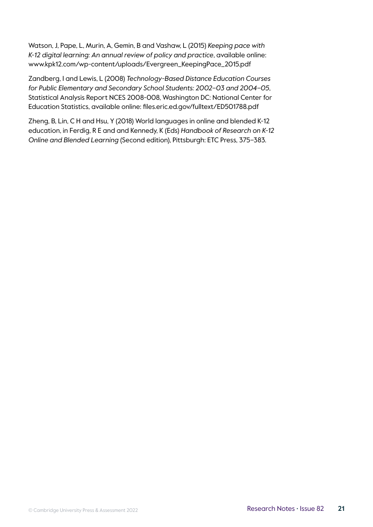Watson, J, Pape, L, Murin, A, Gemin, B and Vashaw, L (2015) *Keeping pace with K-12 digital learning: An annual review of policy and practice*, available online: [www.kpk12.com/wp-content/uploads/Evergreen\\_KeepingPace\\_2015.pdf](http://www.kpk12.com/wp-content/uploads/Evergreen_KeepingPace_2015.pdf)

Zandberg, I and Lewis, L (2008) *Technology-Based Distance Education Courses for Public Elementary and Secondary School Students: 2002–03 and 2004–05*, Statistical Analysis Report NCES 2008-008, Washington DC: National Center for Education Statistics, available online: [files.eric.ed.gov/fulltext/ED501788.pdf](http://files.eric.ed.gov/fulltext/ED501788.pdf)

Zheng, B, Lin, C H and Hsu, Y (2018) World languages in online and blended K-12 education, in Ferdig, R E and and Kennedy, K (Eds) *Handbook of Research on K-12 Online and Blended Learning* (Second edition), Pittsburgh: ETC Press, 375–383.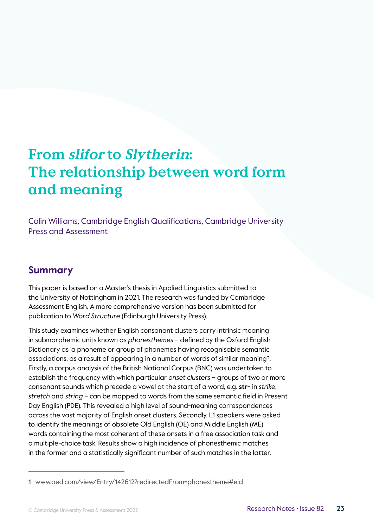## <span id="page-22-0"></span>**From slifor to Slytherin: The relationship between word form and meaning**

Colin Williams, Cambridge English Qualifications, Cambridge University Press and Assessment

## **Summary**

This paper is based on a Master's thesis in Applied Linguistics submitted to the University of Nottingham in 2021. The research was funded by Cambridge Assessment English. A more comprehensive version has been submitted for publication to *Word Structure* (Edinburgh University Press).

This study examines whether English consonant clusters carry intrinsic meaning in submorphemic units known as *phonesthemes* – defined by the Oxford English Dictionary as 'a phoneme or group of phonemes having recognisable semantic associations, as a result of appearing in a number of words of similar meaning'<sup>1</sup> . Firstly, a corpus analysis of the British National Corpus (BNC) was undertaken to establish the frequency with which particular *onset clusters* – groups of two or more consonant sounds which precede a vowel at the start of a word, e.g. **str-** in *strike*, *stretch* and *string* – can be mapped to words from the same semantic field in Present Day English (PDE). This revealed a high level of sound-meaning correspondences across the vast majority of English onset clusters. Secondly, L1 speakers were asked to identify the meanings of obsolete Old English (OE) and Middle English (ME) words containing the most coherent of these onsets in a free association task and a multiple-choice task. Results show a high incidence of phonesthemic matches in the former and a statistically significant number of such matches in the latter.

<sup>1</sup> [www.oed.com/view/Entry/142612?redirectedFrom=phonestheme#eid](http://www.oed.com/view/Entry/142612?redirectedFrom=phonestheme#eid)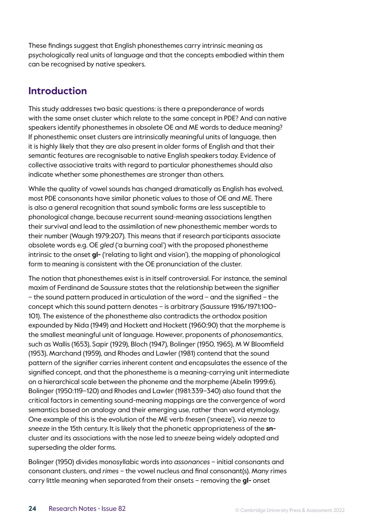These findings suggest that English phonesthemes carry intrinsic meaning as psychologically real units of language and that the concepts embodied within them can be recognised by native speakers.

## **Introduction**

This study addresses two basic questions: is there a preponderance of words with the same onset cluster which relate to the same concept in PDE? And can native speakers identify phonesthemes in obsolete OE and ME words to deduce meaning? If phonesthemic onset clusters are intrinsically meaningful units of language, then it is highly likely that they are also present in older forms of English and that their semantic features are recognisable to native English speakers today. Evidence of collective associative traits with regard to particular phonesthemes should also indicate whether some phonesthemes are stronger than others.

While the quality of vowel sounds has changed dramatically as English has evolved, most PDE consonants have similar phonetic values to those of OE and ME. There is also a general recognition that sound symbolic forms are less susceptible to phonological change, because recurrent sound-meaning associations lengthen their survival and lead to the assimilation of new phonesthemic member words to their number (Waugh 1979:207). This means that if research participants associate obsolete words e.g. OE *gled* ('a burning coal') with the proposed phonestheme intrinsic to the onset **gl-** ('relating to light and vision'), the mapping of phonological form to meaning is consistent with the OE pronunciation of the cluster.

The notion that phonesthemes exist is in itself controversial. For instance, the seminal maxim of Ferdinand de Saussure states that the relationship between the signifier – the sound pattern produced in articulation of the word – and the signified – the concept which this sound pattern denotes – is arbitrary (Saussure 1916/1971:100– 101). The existence of the phonestheme also contradicts the orthodox position expounded by Nida (1949) and Hockett and Hockett (1960:90) that the morpheme is the smallest meaningful unit of language. However, proponents of *phonosemantics*, such as Wallis (1653), Sapir (1929), Bloch (1947), Bolinger (1950, 1965), M W Bloomfield (1953), Marchand (1959), and Rhodes and Lawler (1981) contend that the sound pattern of the signifier carries inherent content and encapsulates the essence of the signified concept, and that the phonestheme is a meaning-carrying unit intermediate on a hierarchical scale between the phoneme and the morpheme (Abelin 1999:6). Bolinger (1950:119–120) and Rhodes and Lawler (1981:339–340) also found that the critical factors in cementing sound-meaning mappings are the convergence of word semantics based on analogy and their emerging use, rather than word etymology. One example of this is the evolution of the ME verb *fnesen* ('sneeze'), via *neeze* to *sneeze* in the 15th century. It is likely that the phonetic appropriateness of the **sn**cluster and its associations with the nose led to *sneeze* being widely adopted and superseding the older forms.

Bolinger (1950) divides monosyllabic words into *assonances* – initial consonants and consonant clusters, and *rimes* – the vowel nucleus and final consonant(s). Many rimes carry little meaning when separated from their onsets – removing the **gl-** onset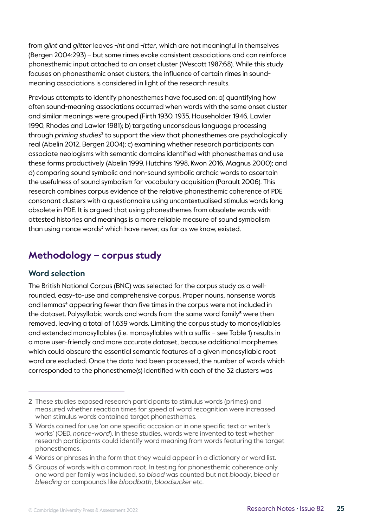from *glint* and *glitter* leaves *-int* and *-itter*, which are not meaningful in themselves (Bergen 2004:293) – but some rimes evoke consistent associations and can reinforce phonesthemic input attached to an onset cluster (Wescott 1987:68). While this study focuses on phonesthemic onset clusters, the influence of certain rimes in soundmeaning associations is considered in light of the research results.

Previous attempts to identify phonesthemes have focused on: a) quantifying how often sound-meaning associations occurred when words with the same onset cluster and similar meanings were grouped (Firth 1930, 1935, Householder 1946, Lawler 1990, Rhodes and Lawler 1981); b) targeting unconscious language processing through *priming studies*<sup>2</sup> to support the view that phonesthemes are psychologically real (Abelin 2012, Bergen 2004); c) examining whether research participants can associate neologisms with semantic domains identified with phonesthemes and use these forms productively (Abelin 1999, Hutchins 1998, Kwon 2016, Magnus 2000); and d) comparing sound symbolic and non-sound symbolic archaic words to ascertain the usefulness of sound symbolism for vocabulary acquisition (Parault 2006). This research combines corpus evidence of the relative phonesthemic coherence of PDE consonant clusters with a questionnaire using uncontextualised stimulus words long obsolete in PDE. It is argued that using phonesthemes from obsolete words with attested histories and meanings is a more reliable measure of sound symbolism than using nonce words<sup>3</sup> which have never, as far as we know, existed.

## **Methodology – corpus study**

#### **Word selection**

The British National Corpus (BNC) was selected for the corpus study as a wellrounded, easy-to-use and comprehensive corpus. Proper nouns, nonsense words and lemmas<sup>4</sup> appearing fewer than five times in the corpus were not included in the dataset. Polysyllabic words and words from the same word family<sup>5</sup> were then removed, leaving a total of 1,639 words. Limiting the corpus study to monosyllables and extended monosyllables (i.e. monosyllables with a suffix – see Table 1) results in a more user-friendly and more accurate dataset, because additional morphemes which could obscure the essential semantic features of a given monosyllabic root word are excluded. Once the data had been processed, the number of words which corresponded to the phonestheme(s) identified with each of the 32 clusters was

5 Groups of words with a common root. In testing for phonesthemic coherence only one word per family was included, so *blood* was counted but not *bloody*, *bleed* or *bleeding* or compounds like *bloodbath*, *bloodsucker* etc.

<sup>2</sup> These studies exposed research participants to stimulus words (primes) and measured whether reaction times for speed of word recognition were increased when stimulus words contained target phonesthemes.

<sup>3</sup> Words coined for use 'on one specific occasion or in one specific text or writer's works' (OED, *nonce-word*). In these studies, words were invented to test whether research participants could identify word meaning from words featuring the target phonesthemes.

<sup>4</sup> Words or phrases in the form that they would appear in a dictionary or word list.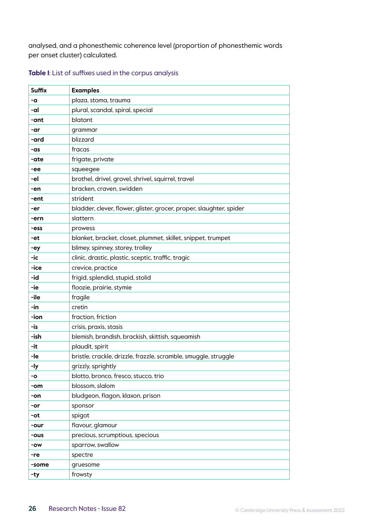analysed, and a phonesthemic coherence level (proportion of phonesthemic words per onset cluster) calculated.

#### **Table 1**: List of suffixes used in the corpus analysis

| <b>Suffix</b> | <b>Examples</b>                                                     |
|---------------|---------------------------------------------------------------------|
| -a            | plaza, stoma, trauma                                                |
| -al           | plural, scandal, spiral, special                                    |
| -ant          | blatant                                                             |
| -ar           | grammar                                                             |
| -ard          | blizzard                                                            |
| -as           | fracas                                                              |
| -ate          | frigate, private                                                    |
| -ee           | squeegee                                                            |
| -el           | brothel, drivel, grovel, shrivel, squirrel, travel                  |
| -en           | bracken, craven, swidden                                            |
| -ent          | strident                                                            |
| -er           | bladder, clever, flower, glister, grocer, proper, slaughter, spider |
| -ern          | slattern                                                            |
| -ess          | prowess                                                             |
| -et           | blanket, bracket, closet, plummet, skillet, snippet, trumpet        |
| -ey           | blimey, spinney, storey, trolley                                    |
| -ic           | clinic, drastic, plastic, sceptic, traffic, tragic                  |
| -ice          | crevice, practice                                                   |
| -id           | frigid, splendid, stupid, stolid                                    |
| -ie           | floozie, prairie, stymie                                            |
| -ile          | fragile                                                             |
| -in           | cretin                                                              |
| -ion          | fraction, friction                                                  |
| -is           | crisis, praxis, stasis                                              |
| -ish          | blemish, brandish, brackish, skittish, squeamish                    |
| -it           | plaudit, spirit                                                     |
| -le           | bristle, crackle, drizzle, frazzle, scramble, smuggle, struggle     |
| -ly           | grizzly, sprightly                                                  |
| -0            | blotto, bronco, fresco, stucco, trio                                |
| -om           | blossom, slalom                                                     |
| -on           | bludgeon, flagon, klaxon, prison                                    |
| -or           | sponsor                                                             |
| -ot           | spigot                                                              |
| -our          | flavour, glamour                                                    |
| -ous          | precious, scrumptious, specious                                     |
| -ow           | sparrow, swallow                                                    |
| -re           | spectre                                                             |
| -some         | gruesome                                                            |
| -ty           | frowsty                                                             |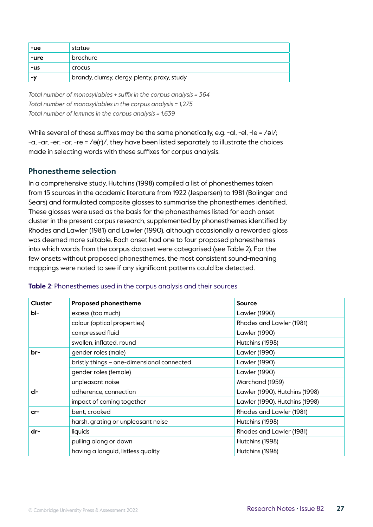| -ue  | statue                                       |
|------|----------------------------------------------|
| -ure | brochure                                     |
| -us  | crocus                                       |
| -v   | brandy, clumsy, clergy, plenty, proxy, study |

*Total number of monosyllables + suffix in the corpus analysis = 364 Total number of monosyllables in the corpus analysis = 1,275 Total number of lemmas in the corpus analysis = 1,639*

While several of these suffixes may be the same phonetically, e.g. -al, -el, -le = /əl/; -a, -ar, -er, -or, -re = /ə(r)/, they have been listed separately to illustrate the choices made in selecting words with these suffixes for corpus analysis.

#### **Phonestheme selection**

In a comprehensive study, Hutchins (1998) compiled a list of phonesthemes taken from 15 sources in the academic literature from 1922 (Jespersen) to 1981 (Bolinger and Sears) and formulated composite glosses to summarise the phonesthemes identified. These glosses were used as the basis for the phonesthemes listed for each onset cluster in the present corpus research, supplemented by phonesthemes identified by Rhodes and Lawler (1981) and Lawler (1990), although occasionally a reworded gloss was deemed more suitable. Each onset had one to four proposed phonesthemes into which words from the corpus dataset were categorised (see Table 2). For the few onsets without proposed phonesthemes, the most consistent sound-meaning mappings were noted to see if any significant patterns could be detected.

| <b>Cluster</b> | <b>Proposed phonestheme</b>                | Source                         |
|----------------|--------------------------------------------|--------------------------------|
| bl-            | excess (too much)                          | Lawler (1990)                  |
|                | colour (optical properties)                | Rhodes and Lawler (1981)       |
|                | compressed fluid                           | Lawler (1990)                  |
|                | swollen, inflated, round                   | Hutchins (1998)                |
| br-            | gender roles (male)                        | Lawler (1990)                  |
|                | bristly things - one-dimensional connected | Lawler (1990)                  |
|                | gender roles (female)                      | Lawler (1990)                  |
|                | unpleasant noise                           | Marchand (1959)                |
| cl-            | adherence, connection                      | Lawler (1990), Hutchins (1998) |
|                | impact of coming together                  | Lawler (1990), Hutchins (1998) |
| $cr-$          | bent, crooked                              | Rhodes and Lawler (1981)       |
|                | harsh, grating or unpleasant noise         | Hutchins (1998)                |
| dr-            | liquids                                    | Rhodes and Lawler (1981)       |
|                | pulling along or down                      | Hutchins (1998)                |
|                | having a languid, listless quality         | Hutchins (1998)                |

#### **Table 2**: Phonesthemes used in the corpus analysis and their sources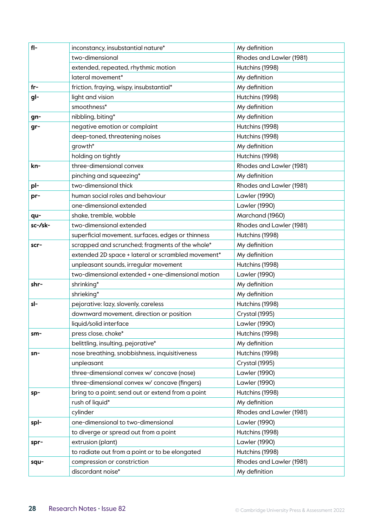| $f$  -  | inconstancy, insubstantial nature*                 | My definition            |
|---------|----------------------------------------------------|--------------------------|
|         | two-dimensional                                    | Rhodes and Lawler (1981) |
|         | extended, repeated, rhythmic motion                | Hutchins (1998)          |
|         | lateral movement*                                  | My definition            |
| $fr-$   | friction, fraying, wispy, insubstantial*           | My definition            |
| gl-     | light and vision                                   | Hutchins (1998)          |
|         | smoothness*                                        | My definition            |
| gn-     | nibbling, biting*                                  | My definition            |
| gr-     | negative emotion or complaint                      | Hutchins (1998)          |
|         | deep-toned, threatening noises                     | Hutchins (1998)          |
|         | growth*                                            | My definition            |
|         | holding on tightly                                 | Hutchins (1998)          |
| kn-     | three-dimensional convex                           | Rhodes and Lawler (1981) |
|         | pinching and squeezing*                            | My definition            |
| pl-     | two-dimensional thick                              | Rhodes and Lawler (1981) |
| pr-     | human social roles and behaviour                   | Lawler (1990)            |
|         | one-dimensional extended                           | Lawler (1990)            |
| qu-     | shake, tremble, wobble                             | Marchand (1960)          |
| sc-/sk- | two-dimensional extended                           | Rhodes and Lawler (1981) |
|         | superficial movement, surfaces, edges or thinness  | Hutchins (1998)          |
| scr-    | scrapped and scrunched; fragments of the whole*    | My definition            |
|         | extended 2D space + lateral or scrambled movement* | My definition            |
|         | unpleasant sounds, irregular movement              | Hutchins (1998)          |
|         | two-dimensional extended + one-dimensional motion  | Lawler (1990)            |
| shr-    | shrinking*                                         | My definition            |
|         | shrieking*                                         | My definition            |
| sl-     | pejorative: lazy, slovenly, careless               | Hutchins (1998)          |
|         | downward movement, direction or position           | Crystal (1995)           |
|         | liquid/solid interface                             | Lawler (1990)            |
| $sm-$   | press close, choke*                                | Hutchins (1998)          |
|         | belittling, insulting, pejorative*                 | My definition            |
| sn-     | nose breathing, snobbishness, inquisitiveness      | Hutchins (1998)          |
|         | unpleasant                                         | Crystal (1995)           |
|         | three-dimensional convex w/ concave (nose)         | Lawler (1990)            |
|         | three-dimensional convex w/ concave (fingers)      | Lawler (1990)            |
| sp-     | bring to a point; send out or extend from a point  | Hutchins (1998)          |
|         | rush of liquid*                                    | My definition            |
|         | cylinder                                           | Rhodes and Lawler (1981) |
| spl-    | one-dimensional to two-dimensional                 | Lawler (1990)            |
|         | to diverge or spread out from a point              | Hutchins (1998)          |
| spr-    | extrusion (plant)                                  | Lawler (1990)            |
|         | to radiate out from a point or to be elongated     | Hutchins (1998)          |
| squ-    | compression or constriction                        | Rhodes and Lawler (1981) |
|         | discordant noise*                                  | My definition            |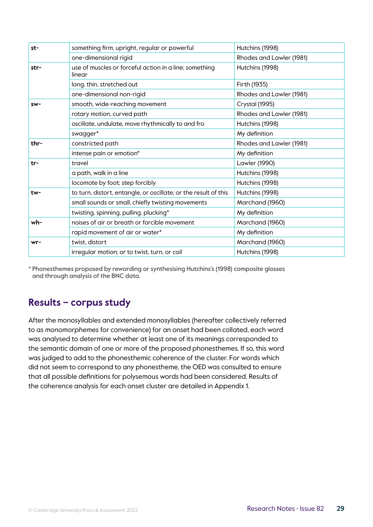| st-    | something firm, upright, regular or powerful                     | Hutchins (1998)          |
|--------|------------------------------------------------------------------|--------------------------|
|        | one-dimensional rigid                                            | Rhodes and Lawler (1981) |
| str-   | use of muscles or forceful action in a line; something<br>linear | Hutchins (1998)          |
|        | long, thin, stretched out                                        | Firth (1935)             |
|        | one-dimensional non-rigid                                        | Rhodes and Lawler (1981) |
| $SW -$ | smooth, wide-reaching movement                                   | Crystal (1995)           |
|        | rotary motion, curved path                                       | Rhodes and Lawler (1981) |
|        | oscillate, undulate, move rhythmically to and fro                | Hutchins (1998)          |
|        | swagger*                                                         | My definition            |
| thr-   | constricted path                                                 | Rhodes and Lawler (1981) |
|        | intense pain or emotion*                                         | My definition            |
| $tr-$  | travel                                                           | Lawler (1990)            |
|        | a path, walk in a line                                           | Hutchins (1998)          |
|        | locomote by foot; step forcibly                                  | Hutchins (1998)          |
| tw-    | to turn, distort, entangle, or oscillate; or the result of this  | Hutchins (1998)          |
|        | small sounds or small, chiefly twisting movements                | Marchand (1960)          |
|        | twisting, spinning, pulling, plucking*                           | My definition            |
| wh-    | noises of air or breath or forcible movement                     | Marchand (1960)          |
|        | rapid movement of air or water*                                  | My definition            |
| wr-    | twist, distort                                                   | Marchand (1960)          |
|        | irregular motion; or to twist, turn, or coil                     | Hutchins (1998)          |

\* Phonesthemes proposed by rewording or synthesising Hutchins's (1998) composite glosses and through analysis of the BNC data.

## **Results – corpus study**

After the monosyllables and extended monosyllables (hereafter collectively referred to as *monomorphemes* for convenience) for an onset had been collated, each word was analysed to determine whether at least one of its meanings corresponded to the semantic domain of one or more of the proposed phonesthemes. If so, this word was judged to add to the phonesthemic coherence of the cluster. For words which did not seem to correspond to any phonestheme, the OED was consulted to ensure that all possible definitions for polysemous words had been considered. Results of the coherence analysis for each onset cluster are detailed in Appendix 1.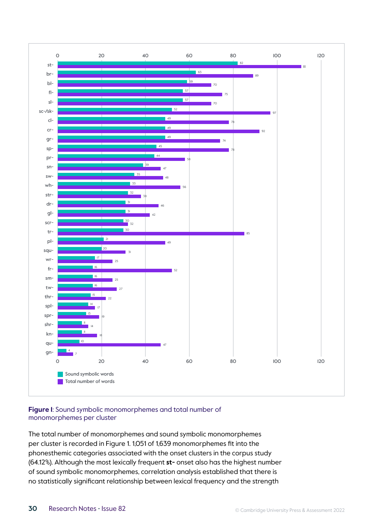

#### **Figure 1**: Sound symbolic monomorphemes and total number of monomorphemes per cluster

The total number of monomorphemes and sound symbolic monomorphemes per cluster is recorded in Figure 1. 1,051 of 1,639 monomorphemes fit into the phonesthemic categories associated with the onset clusters in the corpus study (64.12%). Although the most lexically frequent **st-** onset also has the highest number of sound symbolic monomorphemes, correlation analysis established that there is no statistically significant relationship between lexical frequency and the strength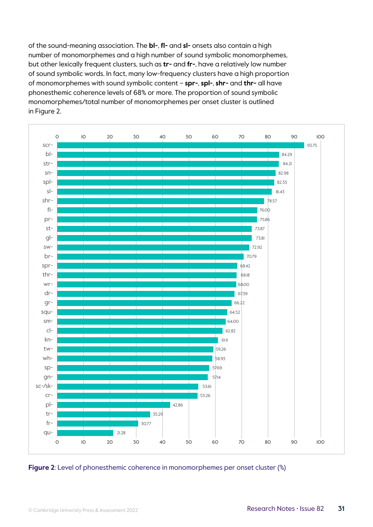of the sound-meaning association. The **bl-**, **fl-** and **sl-** onsets also contain a high number of monomorphemes and a high number of sound symbolic monomorphemes, but other lexically frequent clusters, such as **tr-** and **fr-**, have a relatively low number of sound symbolic words. In fact, many low-frequency clusters have a high proportion of monomorphemes with sound symbolic content – **spr-**, **spl-**, **shr-** and **thr-** all have phonesthemic coherence levels of 68% or more. The proportion of sound symbolic monomorphemes/total number of monomorphemes per onset cluster is outlined in Figure 2.



**Figure 2**: Level of phonesthemic coherence in monomorphemes per onset cluster (%)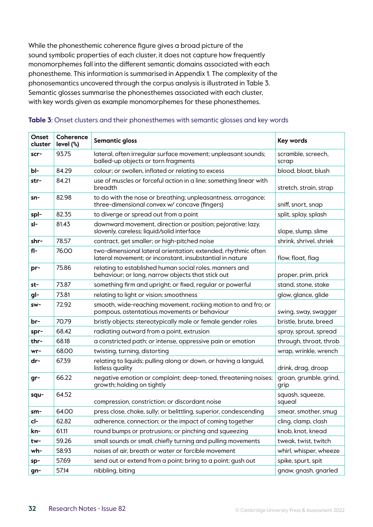While the phonesthemic coherence figure gives a broad picture of the sound symbolic properties of each cluster, it does not capture how frequently monomorphemes fall into the different semantic domains associated with each phonestheme. This information is summarised in Appendix 1. The complexity of the phonosemantics uncovered through the corpus analysis is illustrated in Table 3. Semantic glosses summarise the phonesthemes associated with each cluster, with key words given as example monomorphemes for these phonesthemes.

| Onset<br>cluster | Coherence<br>level (%) | Semantic gloss                                                                                                            | Key words                      |
|------------------|------------------------|---------------------------------------------------------------------------------------------------------------------------|--------------------------------|
| scr-             | 93.75                  | lateral, often irregular surface movement; unpleasant sounds;<br>balled-up objects or torn fragments                      | scramble, screech,<br>scrap    |
| bl-              | 84.29                  | colour; or swollen, inflated or relating to excess                                                                        | blood, bloat, blush            |
| str-             | 84.21                  | use of muscles or forceful action in a line; something linear with<br>breadth                                             | stretch, strain, strap         |
| sn-              | 82.98                  | to do with the nose or breathing; unpleasantness, arrogance;<br>three-dimensional convex w/ concave (fingers)             | sniff, snort, snap             |
| spl-             | 82.35                  | to diverge or spread out from a point                                                                                     | split, splay, splash           |
| sl-              | 81.43                  | downward movement, direction or position; pejorative: lazy,<br>slovenly, careless; liquid/solid interface                 | slope, slump, slime            |
| shr-             | 78.57                  | contract, get smaller; or high-pitched noise                                                                              | shrink, shrivel, shriek        |
| fl-              | 76.00                  | two-dimensional lateral orientation; extended, rhythmic often<br>lateral movement; or inconstant, insubstantial in nature | flow, float, flag              |
| pr-              | 75.86                  | relating to established human social roles, manners and<br>behaviour; or long, narrow objects that stick out              | proper, prim, prick            |
| st-              | 73.87                  | something firm and upright; or fixed, regular or powerful                                                                 | stand, stone, stake            |
| gl-              | 73.81                  | relating to light or vision; smoothness                                                                                   | glow, glance, glide            |
| sw-              | 72.92                  | smooth, wide-reaching movement, rocking motion to and fro; or<br>pompous, ostentatious movements or behaviour             | swing, sway, swagger           |
| br-              | 70.79                  | bristly objects; stereotypically male or female gender roles                                                              | bristle, brute, breed          |
| spr-             | 68.42                  | radiating outward from a point, extrusion                                                                                 | spray, sprout, spread          |
| thr-             | 68.18                  | a constricted path; or intense, oppressive pain or emotion                                                                | through, throat, throb         |
| wr-              | 68.00                  | twisting, turning, distorting                                                                                             | wrap, wrinkle, wrench          |
| dr-              | 67.39                  | relating to liquids; pulling along or down, or having a languid,<br>listless quality                                      | drink, drag, droop             |
| gr-              | 66.22                  | negative emotion or complaint; deep-toned, threatening noises;<br>growth; holding on tightly                              | groan, grumble, grind,<br>grip |
| squ-             | 64.52                  | compression, constriction; or discordant noise                                                                            | squash, squeeze,<br>squeal     |
| sm-              | 64.00                  | press close, choke, sully; or belittling, superior, condescending                                                         | smear, smother, smug           |
| cl-              | 62.82                  | adherence, connection; or the impact of coming together                                                                   | cling, clamp, clash            |
| kn-              | 61.11                  | round bumps or protrusions; or pinching and squeezing                                                                     | knob, knot, knead              |
| tw-              | 59.26                  | small sounds or small, chiefly turning and pulling movements                                                              | tweak, twist, twitch           |
| wh-              | 58.93                  | noises of air, breath or water or forcible movement                                                                       | whirl, whisper, wheeze         |
| sp-              | 57.69                  | send out or extend from a point; bring to a point; gush out                                                               | spike, spurt, spit             |
| gn-              | 57.14                  | nibbling, biting                                                                                                          | gnaw, gnash, gnarled           |

#### **Table 3**: Onset clusters and their phonesthemes with semantic glosses and key words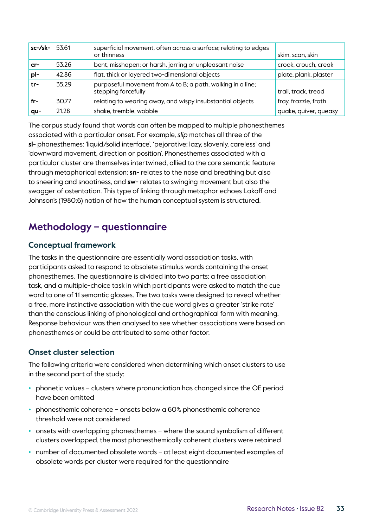| sc-/sk- | 53.61 | superficial movement, often across a surface; relating to edges<br>or thinness     | skim, scan, skin      |
|---------|-------|------------------------------------------------------------------------------------|-----------------------|
| $cr-$   | 53.26 | bent, misshapen; or harsh, jarring or unpleasant noise                             | crook, crouch, creak  |
| pl-     | 42.86 | flat, thick or layered two-dimensional objects                                     | plate, plank, plaster |
| tr-     | 35.29 | purposeful movement from A to B; a path, walking in a line;<br>stepping forcefully | trail, track, tread   |
| fr-     | 30.77 | relating to wearing away, and wispy insubstantial objects                          | fray, frazzle, froth  |
| $qu-$   | 21.28 | shake, tremble, wobble                                                             | quake, quiver, queasy |

The corpus study found that words can often be mapped to multiple phonesthemes associated with a particular onset. For example, *slip* matches all three of the **sl-** phonesthemes: 'liquid/solid interface', 'pejorative: lazy, slovenly, careless' and 'downward movement, direction or position'. Phonesthemes associated with a particular cluster are themselves intertwined, allied to the core semantic feature through metaphorical extension: **sn-** relates to the nose and breathing but also to sneering and snootiness, and **sw-** relates to swinging movement but also the swagger of ostentation. This type of linking through metaphor echoes Lakoff and Johnson's (1980:6) notion of how the human conceptual system is structured.

## **Methodology – questionnaire**

#### **Conceptual framework**

The tasks in the questionnaire are essentially word association tasks, with participants asked to respond to obsolete stimulus words containing the onset phonesthemes. The questionnaire is divided into two parts: a free association task, and a multiple-choice task in which participants were asked to match the cue word to one of 11 semantic glosses. The two tasks were designed to reveal whether a free, more instinctive association with the cue word gives a greater 'strike rate' than the conscious linking of phonological and orthographical form with meaning. Response behaviour was then analysed to see whether associations were based on phonesthemes or could be attributed to some other factor.

#### **Onset cluster selection**

The following criteria were considered when determining which onset clusters to use in the second part of the study:

- **•** phonetic values clusters where pronunciation has changed since the OE period have been omitted
- **•** phonesthemic coherence onsets below a 60% phonesthemic coherence threshold were not considered
- **•** onsets with overlapping phonesthemes where the sound symbolism of different clusters overlapped, the most phonesthemically coherent clusters were retained
- **•** number of documented obsolete words at least eight documented examples of obsolete words per cluster were required for the questionnaire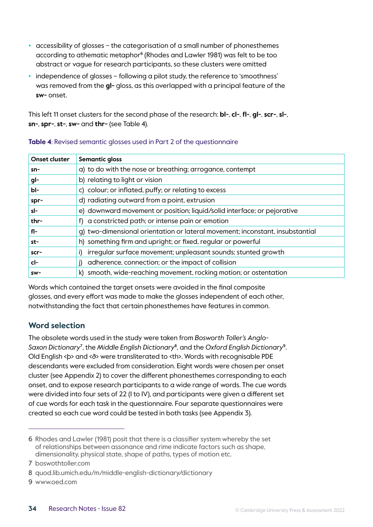- **•** accessibility of glosses the categorisation of a small number of phonesthemes according to athematic metaphor<sup>6</sup> (Rhodes and Lawler 1981) was felt to be too abstract or vague for research participants, so these clusters were omitted
- **•** independence of glosses following a pilot study, the reference to 'smoothness' was removed from the **gl-** gloss, as this overlapped with a principal feature of the **sw-** onset.

This left 11 onset clusters for the second phase of the research: **bl-**, **cl-**, **fl-**, **gl-**, **scr-**, **sl-**, **sn-**, **spr-**, **st-**, **sw-** and **thr-** (see Table 4).

| <b>Onset cluster</b> | Semantic gloss                                                                |
|----------------------|-------------------------------------------------------------------------------|
| $sn-$                | a) to do with the nose or breathing; arrogance, contempt                      |
| gl-                  | b) relating to light or vision                                                |
| bl-                  | c) colour; or inflated, puffy; or relating to excess                          |
| spr-                 | d) radiating outward from a point, extrusion                                  |
| sl-                  | e) downward movement or position; liquid/solid interface; or pejorative       |
| thr-                 | f) a constricted path; or intense pain or emotion                             |
| fl-                  | g) two-dimensional orientation or lateral movement; inconstant, insubstantial |
| st-                  | h) something firm and upright; or fixed, regular or powerful                  |
| scr-                 | irregular surface movement; unpleasant sounds; stunted growth                 |
| cl-                  | adherence, connection; or the impact of collision                             |
| sw-                  | smooth, wide-reaching movement, rocking motion; or ostentation<br>k)          |

#### **Table 4**: Revised semantic glosses used in Part 2 of the questionnaire

Words which contained the target onsets were avoided in the final composite glosses, and every effort was made to make the glosses independent of each other, notwithstanding the fact that certain phonesthemes have features in common.

#### **Word selection**

The obsolete words used in the study were taken from *Bosworth Toller's Anglo-Saxon Dictionary*<sup>7</sup> , the *Middle English Dictionary*<sup>8</sup> , and the *Oxford English Dictionary*<sup>9</sup>. Old English <þ> and <ð> were transliterated to <th>. Words with recognisable PDE descendants were excluded from consideration. Eight words were chosen per onset cluster (see Appendix 2) to cover the different phonesthemes corresponding to each onset, and to expose research participants to a wide range of words. The cue words were divided into four sets of 22 (I to IV), and participants were given a different set of cue words for each task in the questionnaire. Four separate questionnaires were created so each cue word could be tested in both tasks (see Appendix 3).

<sup>6</sup> Rhodes and Lawler (1981) posit that there is a classifier system whereby the set of relationships between assonance and rime indicate factors such as shape, dimensionality, physical state, shape of paths, types of motion etc.

<sup>7</sup> boswothtoller.com

<sup>8</sup> quod.lib.umich.edu/m/middle-english-dictionary/dictionary

<sup>9</sup> www.oed.com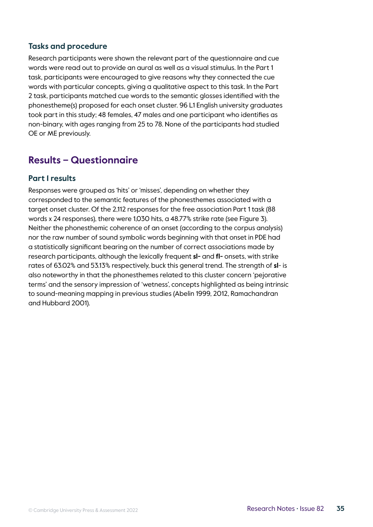#### **Tasks and procedure**

Research participants were shown the relevant part of the questionnaire and cue words were read out to provide an aural as well as a visual stimulus. In the Part 1 task, participants were encouraged to give reasons why they connected the cue words with particular concepts, giving a qualitative aspect to this task. In the Part 2 task, participants matched cue words to the semantic glosses identified with the phonestheme(s) proposed for each onset cluster. 96 L1 English university graduates took part in this study; 48 females, 47 males and one participant who identifies as non-binary, with ages ranging from 25 to 78. None of the participants had studied OE or ME previously.

## **Results – Questionnaire**

#### **Part 1 results**

Responses were grouped as 'hits' or 'misses', depending on whether they corresponded to the semantic features of the phonesthemes associated with a target onset cluster. Of the 2,112 responses for the free association Part 1 task (88 words x 24 responses), there were 1,030 hits, a 48.77% strike rate (see Figure 3). Neither the phonesthemic coherence of an onset (according to the corpus analysis) nor the raw number of sound symbolic words beginning with that onset in PDE had a statistically significant bearing on the number of correct associations made by research participants, although the lexically frequent **sl-** and **fl-** onsets, with strike rates of 63.02% and 53.13% respectively, buck this general trend. The strength of **sl**- is also noteworthy in that the phonesthemes related to this cluster concern 'pejorative terms' and the sensory impression of 'wetness', concepts highlighted as being intrinsic to sound-meaning mapping in previous studies (Abelin 1999, 2012, Ramachandran and Hubbard 2001).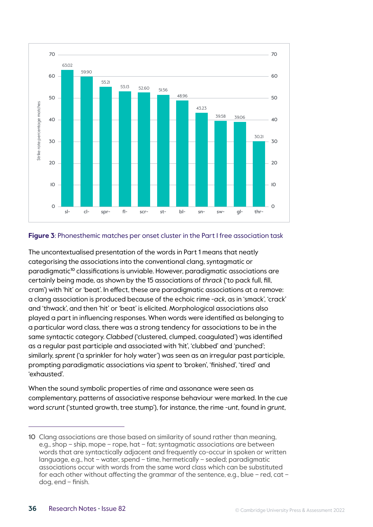

#### **Figure 3**: Phonesthemic matches per onset cluster in the Part 1 free association task

The uncontextualised presentation of the words in Part 1 means that neatly categorising the associations into the conventional clang, syntagmatic or paradigmatic<sup>10</sup> classifications is unviable. However, paradigmatic associations are certainly being made, as shown by the 15 associations of *thrack* ('to pack full, fill, cram') with 'hit' or 'beat'. In effect, these are paradigmatic associations at a remove: a clang association is produced because of the echoic rime *-ack*, as in 'smack', 'crack' and 'thwack', and then 'hit' or 'beat' is elicited. Morphological associations also played a part in influencing responses. When words were identified as belonging to a particular word class, there was a strong tendency for associations to be in the same syntactic category. *Clabbed* ('clustered, clumped, coagulated') was identified as a regular past participle and associated with 'hit', 'clubbed' and 'punched'; similarly, *sprent* ('a sprinkler for holy water') was seen as an irregular past participle, prompting paradigmatic associations via *spent* to 'broken', 'finished', 'tired' and 'exhausted'.

When the sound symbolic properties of rime and assonance were seen as complementary, patterns of associative response behaviour were marked. In the cue word *scrunt* ('stunted growth, tree stump'), for instance, the rime *-unt*, found in *grunt*,

<sup>10</sup> Clang associations are those based on similarity of sound rather than meaning, e.g., shop – ship, mope – rope, hat – fat; syntagmatic associations are between words that are syntactically adjacent and frequently co-occur in spoken or written language, e.g., hot – water, spend – time, hermetically – sealed; paradigmatic associations occur with words from the same word class which can be substituted for each other without affecting the grammar of the sentence, e.g., blue – red, cat – dog, end – finish.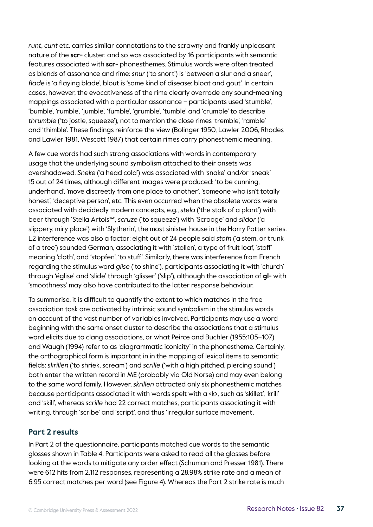*runt*, *cunt* etc. carries similar connotations to the scrawny and frankly unpleasant nature of the **scr-** cluster, and so was associated by 16 participants with semantic features associated with **scr-** phonesthemes. Stimulus words were often treated as blends of assonance and rime: *snur* ('to snort') is 'between a slur and a sneer', *flade* is 'a flaying blade', blout is 'some kind of disease: bloat and gout'. In certain cases, however, the evocativeness of the rime clearly overrode any sound-meaning mappings associated with a particular assonance – participants used 'stumble', 'bumble', 'rumble', 'jumble', 'fumble', 'grumble', 'tumble' and 'crumble' to describe *thrumble* ('to jostle, squeeze'), not to mention the close rimes 'tremble', 'ramble' and 'thimble'. These findings reinforce the view (Bolinger 1950, Lawler 2006, Rhodes and Lawler 1981, Wescott 1987) that certain rimes carry phonesthemic meaning.

A few cue words had such strong associations with words in contemporary usage that the underlying sound symbolism attached to their onsets was overshadowed. *Sneke* ('a head cold') was associated with 'snake' and/or 'sneak' 15 out of 24 times, although different images were produced: 'to be cunning, underhand', 'move discreetly from one place to another', 'someone who isn't totally honest', 'deceptive person', etc. This even occurred when the obsolete words were associated with decidedly modern concepts, e.g., *stela* ('the stalk of a plant') with beer through 'Stella Artois™', *scruze* ('to squeeze') with 'Scrooge' and *slidor* ('a slippery, miry place') with 'Slytherin', the most sinister house in the Harry Potter series. L2 interference was also a factor: eight out of 24 people said *stofn* ('a stem, or trunk of a tree') sounded German, associating it with 'stollen', a type of fruit loaf, 'stoff' meaning 'cloth', and 'stopfen', 'to stuff'. Similarly, there was interference from French regarding the stimulus word *glise* ('to shine'), participants associating it with 'church' through 'église' and 'slide' through 'glisser' ('slip'), although the association of **gl-** with 'smoothness' may also have contributed to the latter response behaviour.

To summarise, it is difficult to quantify the extent to which matches in the free association task are activated by intrinsic sound symbolism in the stimulus words on account of the vast number of variables involved. Participants may use a word beginning with the same onset cluster to describe the associations that a stimulus word elicits due to clang associations, or what Peirce and Buchler (1955:105–107) and Waugh (1994) refer to as 'diagrammatic iconicity' in the phonestheme. Certainly, the orthographical form is important in in the mapping of lexical items to semantic fields: *skrillen* ('to shriek, scream') and *scrille* ('with a high pitched, piercing sound') both enter the written record in ME (probably via Old Norse) and may even belong to the same word family. However, *skrillen* attracted only six phonesthemic matches because participants associated it with words spelt with a <k>, such as 'skillet', 'krill' and 'skill', whereas *scrille* had 22 correct matches, participants associating it with writing, through 'scribe' and 'script', and thus 'irregular surface movement'.

#### **Part 2 results**

In Part 2 of the questionnaire, participants matched cue words to the semantic glosses shown in Table 4. Participants were asked to read all the glosses before looking at the words to mitigate any order effect (Schuman and Presser 1981). There were 612 hits from 2,112 responses, representing a 28.98% strike rate and a mean of 6.95 correct matches per word (see Figure 4). Whereas the Part 2 strike rate is much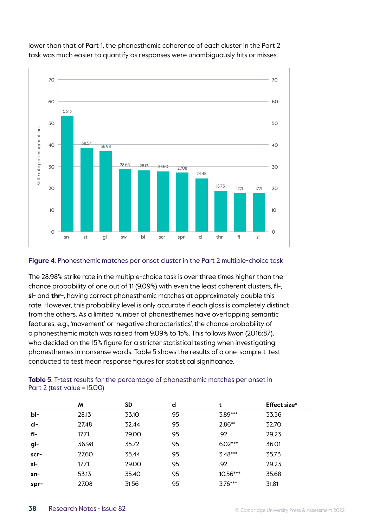

lower than that of Part 1, the phonesthemic coherence of each cluster in the Part 2 task was much easier to quantify as responses were unambiguously hits or misses.

#### **Figure 4**: Phonesthemic matches per onset cluster in the Part 2 multiple-choice task

The 28.98% strike rate in the multiple-choice task is over three times higher than the chance probability of one out of 11 (9.09%) with even the least coherent clusters, **fl-**, **sl-** and **thr-**, having correct phonesthemic matches at approximately double this rate. However, this probability level is only accurate if each gloss is completely distinct from the others. As a limited number of phonesthemes have overlapping semantic features, e.g., 'movement' or 'negative characteristics', the chance probability of a phonesthemic match was raised from 9.09% to 15%. This follows Kwon (2016:87), who decided on the 15% figure for a stricter statistical testing when investigating phonesthemes in nonsense words. Table 5 shows the results of a one-sample t-test conducted to test mean response figures for statistical significance.

|      | M     | <b>SD</b> | d  | t         | Effect size <sup>o</sup> |
|------|-------|-----------|----|-----------|--------------------------|
| bl-  | 28.13 | 33.10     | 95 | 3.89***   | 33.36                    |
| cl-  | 27.48 | 32.44     | 95 | $2.86**$  | 32.70                    |
| fl-  | 17.71 | 29.00     | 95 | .92       | 29.23                    |
| gl-  | 36.98 | 35.72     | 95 | $6.02***$ | 36.01                    |
| scr- | 27.60 | 35.44     | 95 | $3.48***$ | 35.73                    |
| sl-  | 17.71 | 29.00     | 95 | .92       | 29.23                    |
| sn-  | 53.13 | 35.40     | 95 | 10.56***  | 35.68                    |
| spr- | 27.08 | 31.56     | 95 | $3.76***$ | 31.81                    |

#### **Table 5**: T-test results for the percentage of phonesthemic matches per onset in Part 2 (test value = 15.00)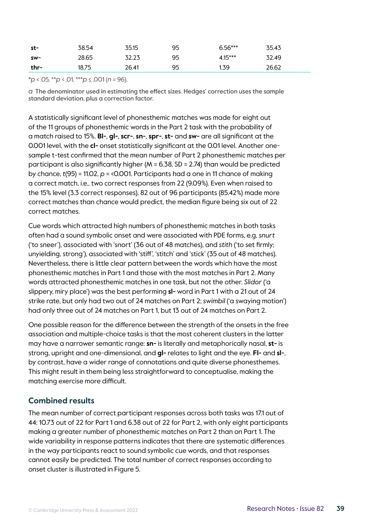| st-    | 38.54 | 35.15 | 95 | $6.56***$ | 35.43 |
|--------|-------|-------|----|-----------|-------|
| sw-    | 28.65 | 32.23 | 95 | 4.15***   | 32.49 |
| $thr-$ | 18.75 | 26.41 | 95 | 1.39      | 26.62 |

\**p* < .05, \*\**p* < .01, \*\*\**p* ≤ .001 (*n* = 96).

*a* The denominator used in estimating the effect sizes. Hedges' correction uses the sample standard deviation, plus a correction factor.

A statistically significant level of phonesthemic matches was made for eight out of the 11 groups of phonesthemic words in the Part 2 task with the probability of a match raised to 15%. **Bl-**, **gl-**, **scr-**, **sn-**, **spr-**, **st-** and **sw-** are all significant at the 0.001 level, with the **cl-** onset statistically significant at the 0.01 level. Another onesample t-test confirmed that the mean number of Part 2 phonesthemic matches per participant is also significantly higher (M = 6.38, SD = 2.74) than would be predicted by chance, *t*(95) = 11.02, *p* = <0.001. Participants had a one in 11 chance of making a correct match, i.e., two correct responses from 22 (9.09%). Even when raised to the 15% level (3.3 correct responses), 82 out of 96 participants (85.42%) made more correct matches than chance would predict, the median figure being six out of 22 correct matches.

Cue words which attracted high numbers of phonesthemic matches in both tasks often had a sound symbolic onset and were associated with PDE forms, e.g, *snurt* ('to sneer'), associated with 'snort' (36 out of 48 matches), and *stith* ('to set firmly; unyielding, strong'), associated with 'stiff', 'stitch' and 'stick' (35 out of 48 matches). Nevertheless, there is little clear pattern between the words which have the most phonesthemic matches in Part 1 and those with the most matches in Part 2. Many words attracted phonesthemic matches in one task, but not the other. *Slidor* ('a slippery, miry place') was the best performing **sl-** word in Part 1 with a 21 out of 24 strike rate, but only had two out of 24 matches on Part 2; *swimbil* ('a swaying motion') had only three out of 24 matches on Part 1, but 13 out of 24 matches on Part 2.

One possible reason for the difference between the strength of the onsets in the free association and multiple-choice tasks is that the most coherent clusters in the latter may have a narrower semantic range: **sn-** is literally and metaphorically nasal, **st-** is strong, upright and one-dimensional, and **gl-** relates to light and the eye. **Fl-** and **sl-**, by contrast, have a wider range of connotations and quite diverse phonesthemes. This might result in them being less straightforward to conceptualise, making the matching exercise more difficult.

#### **Combined results**

The mean number of correct participant responses across both tasks was 17.1 out of 44: 10.73 out of 22 for Part 1 and 6.38 out of 22 for Part 2, with only eight participants making a greater number of phonesthemic matches on Part 2 than on Part 1. The wide variability in response patterns indicates that there are systematic differences in the way participants react to sound symbolic cue words, and that responses cannot easily be predicted. The total number of correct responses according to onset cluster is illustrated in Figure 5.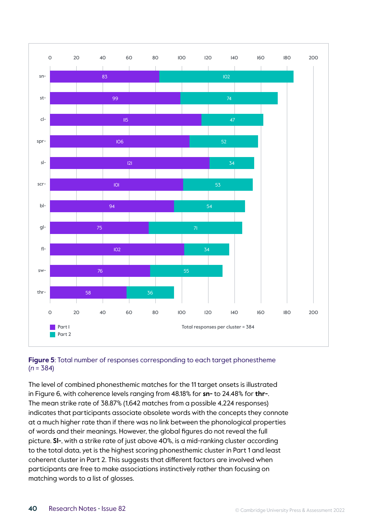



The level of combined phonesthemic matches for the 11 target onsets is illustrated in Figure 6, with coherence levels ranging from 48.18% for **sn-** to 24.48% for **thr-**. The mean strike rate of 38.87% (1,642 matches from a possible 4,224 responses) indicates that participants associate obsolete words with the concepts they connote at a much higher rate than if there was no link between the phonological properties of words and their meanings. However, the global figures do not reveal the full picture. **Sl-**, with a strike rate of just above 40%, is a mid-ranking cluster according to the total data, yet is the highest scoring phonesthemic cluster in Part 1 and least coherent cluster in Part 2. This suggests that different factors are involved when participants are free to make associations instinctively rather than focusing on matching words to a list of glosses.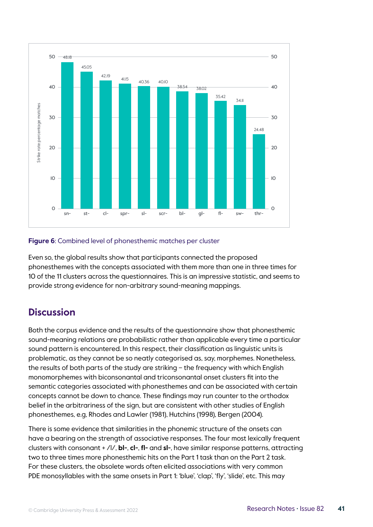

#### **Figure 6**: Combined level of phonesthemic matches per cluster

Even so, the global results show that participants connected the proposed phonesthemes with the concepts associated with them more than one in three times for 10 of the 11 clusters across the questionnaires. This is an impressive statistic, and seems to provide strong evidence for non-arbitrary sound-meaning mappings.

### **Discussion**

Both the corpus evidence and the results of the questionnaire show that phonesthemic sound-meaning relations are probabilistic rather than applicable every time a particular sound pattern is encountered. In this respect, their classification as linguistic units is problematic, as they cannot be so neatly categorised as, say, morphemes. Nonetheless, the results of both parts of the study are striking – the frequency with which English monomorphemes with biconsonantal and triconsonantal onset clusters fit into the semantic categories associated with phonesthemes and can be associated with certain concepts cannot be down to chance. These findings may run counter to the orthodox belief in the arbitrariness of the sign, but are consistent with other studies of English phonesthemes, e.g, Rhodes and Lawler (1981), Hutchins (1998), Bergen (2004).

There is some evidence that similarities in the phonemic structure of the onsets can have a bearing on the strength of associative responses. The four most lexically frequent clusters with consonant + /l/, **bl-**, **cl-**, **fl-** and **sl-**, have similar response patterns, attracting two to three times more phonesthemic hits on the Part 1 task than on the Part 2 task. For these clusters, the obsolete words often elicited associations with very common PDE monosyllables with the same onsets in Part 1: 'blue', 'clap', 'fly', 'slide', etc. This may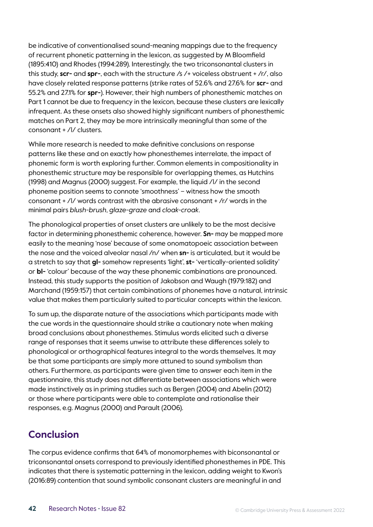be indicative of conventionalised sound-meaning mappings due to the frequency of recurrent phonetic patterning in the lexicon, as suggested by M Bloomfield (1895:410) and Rhodes (1994:289). Interestingly, the two triconsonantal clusters in this study, **scr-** and **spr-**, each with the structure /s /+ voiceless obstruent + /r/, also have closely related response patterns (strike rates of 52.6% and 27.6% for **scr-** and 55.2% and 27.1% for **spr-**). However, their high numbers of phonesthemic matches on Part 1 cannot be due to frequency in the lexicon, because these clusters are lexically infrequent. As these onsets also showed highly significant numbers of phonesthemic matches on Part 2, they may be more intrinsically meaningful than some of the consonant + /l/ clusters.

While more research is needed to make definitive conclusions on response patterns like these and on exactly how phonesthemes interrelate, the impact of phonemic form is worth exploring further. Common elements in compositionality in phonesthemic structure may be responsible for overlapping themes, as Hutchins (1998) and Magnus (2000) suggest. For example, the liquid /l/ in the second phoneme position seems to connote 'smoothness' – witness how the smooth consonant + /l/ words contrast with the abrasive consonant + /r/ words in the minimal pairs *blush-brush*, *glaze-graze* and *cloak-croak*.

The phonological properties of onset clusters are unlikely to be the most decisive factor in determining phonesthemic coherence, however. **Sn-** may be mapped more easily to the meaning 'nose' because of some onomatopoeic association between the nose and the voiced alveolar nasal /n/ when **sn-** is articulated, but it would be a stretch to say that **gl-** somehow represents 'light', **st-** 'vertically-oriented solidity' or **bl-** 'colour' because of the way these phonemic combinations are pronounced. Instead, this study supports the position of Jakobson and Waugh (1979:182) and Marchand (1959:157) that certain combinations of phonemes have a natural, intrinsic value that makes them particularly suited to particular concepts within the lexicon.

To sum up, the disparate nature of the associations which participants made with the cue words in the questionnaire should strike a cautionary note when making broad conclusions about phonesthemes. Stimulus words elicited such a diverse range of responses that it seems unwise to attribute these differences solely to phonological or orthographical features integral to the words themselves. It may be that some participants are simply more attuned to sound symbolism than others. Furthermore, as participants were given time to answer each item in the questionnaire, this study does not differentiate between associations which were made instinctively as in priming studies such as Bergen (2004) and Abelin (2012) or those where participants were able to contemplate and rationalise their responses, e.g. Magnus (2000) and Parault (2006).

## **Conclusion**

The corpus evidence confirms that 64% of monomorphemes with biconsonantal or triconsonantal onsets correspond to previously identified phonesthemes in PDE. This indicates that there is systematic patterning in the lexicon, adding weight to Kwon's (2016:89) contention that sound symbolic consonant clusters are meaningful in and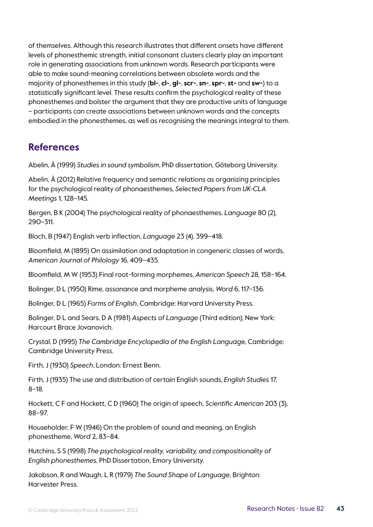of themselves. Although this research illustrates that different onsets have different levels of phonesthemic strength, initial consonant clusters clearly play an important role in generating associations from unknown words. Research participants were able to make sound-meaning correlations between obsolete words and the majority of phonesthemes in this study (**bl-**, **cl-**, **gl-**, **scr-**, **sn-**, **spr-**, **st-** and **sw-**) to a statistically significant level. These results confirm the psychological reality of these phonesthemes and bolster the argument that they are productive units of language – participants can create associations between unknown words and the concepts embodied in the phonesthemes, as well as recognising the meanings integral to them.

### **References**

Abelin, Å (1999) *Studies in sound symbolism*, PhD dissertation, Göteborg University.

Abelin, Å (2012) Relative frequency and semantic relations as organizing principles for the psychological reality of phonaesthemes, *Selected Papers from UK-CLA Meetings* 1, 128–145.

Bergen, B K (2004) The psychological reality of phonaesthemes, *Language* 80 (2), 290–311.

Bloch, B (1947) English verb inflection, *Language* 23 (4), 399–418.

Bloomfield, M (1895) On assimilation and adaptation in congeneric classes of words, *American Journal of Philology* 16, 409–435.

Bloomfield, M W (1953) Final root-forming morphemes, *American Speech* 28, 158–164.

Bolinger, D L (1950) Rime, assonance and morpheme analysis, *Word* 6, 117–136.

Bolinger, D L (1965) *Forms of English*, Cambridge: Harvard University Press.

Bolinger, D L and Sears, D A (1981) *Aspects of Language* (Third edition), New York: Harcourt Brace Jovanovich.

Crystal, D (1995) *The Cambridge Encyclopedia of the English Languag*e, Cambridge: Cambridge University Press.

Firth, J (1930) *Speech*, London: Ernest Benn.

Firth, J (1935) The use and distribution of certain English sounds, *English Studies* 17, 8–18.

Hockett, C F and Hockett, C D (1960) The origin of speech, *Scientific American* 203 (3), 88–97.

Householder, F W (1946) On the problem of sound and meaning, an English phonestheme, *Word* 2, 83–84.

Hutchins, S S (1998) *The psychological reality, variability, and compositionality of English phonesthemes*, PhD Dissertation, Emory University.

Jakobson, R and Waugh, L R (1979) *The Sound Shape of Language*, Brighton: Harvester Press.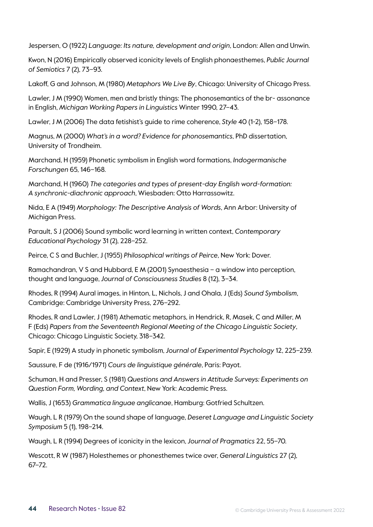Jespersen, O (1922) *Language: Its nature, development and origin*, London: Allen and Unwin.

Kwon, N (2016) Empirically observed iconicity levels of English phonaesthemes, *Public Journal of Semiotics* 7 (2), 73–93.

Lakoff, G and Johnson, M (1980) *Metaphors We Live By*, Chicago: University of Chicago Press.

Lawler, J M (1990) Women, men and bristly things: The phonosemantics of the br- assonance in English, *Michigan Working Papers in Linguistics* Winter 1990, 27–43.

Lawler, J M (2006) The data fetishist's guide to rime coherence, *Style* 40 (1-2), 158–178.

Magnus, M (2000) *What's in a word? Evidence for phonosemantics*, PhD dissertation, University of Trondheim.

Marchand, H (1959) Phonetic symbolism in English word formations, *Indogermanische Forschungen* 65, 146–168.

Marchand, H (1960) *The categories and types of present-day English word-formation: A synchronic-diachronic approach*, Wiesbaden: Otto Harrassowitz.

Nida, E A (1949) *Morphology: The Descriptive Analysis of Words*, Ann Arbor: University of Michigan Press.

Parault, S J (2006) Sound symbolic word learning in written context, *Contemporary Educational Psychology* 31 (2), 228–252.

Peirce, C S and Buchler, J (1955) *Philosophical writings of Peirce*, New York: Dover.

Ramachandran, V S and Hubbard, E M (2001) Synaesthesia – a window into perception, thought and language, *Journal of Consciousness Studies* 8 (12), 3–34.

Rhodes, R (1994) Aural images, in Hinton, L, Nichols, J and Ohala, J (Eds) *Sound Symbolism*, Cambridge: Cambridge University Press, 276–292.

Rhodes, R and Lawler, J (1981) Athematic metaphors, in Hendrick, R, Masek, C and Miller, M F (Eds) *Papers from the Seventeenth Regional Meeting of the Chicago Linguistic Society*, Chicago: Chicago Linguistic Society, 318–342.

Sapir, E (1929) A study in phonetic symbolism, *Journal of Experimental Psychology* 12, 225–239.

Saussure, F de (1916/1971) *Cours de linguistique générale*, Paris: Payot.

Schuman, H and Presser, S (1981) *Questions and Answers in Attitude Surveys: Experiments on Question Form, Wording, and Context*, New York: Academic Press.

Wallis, J (1653) *Grammatica linguae anglicanae*, Hamburg: Gotfried Schultzen.

Waugh, L R (1979) On the sound shape of language, *Deseret Language and Linguistic Society Symposium* 5 (1), 198–214.

Waugh, L R (1994) Degrees of iconicity in the lexicon, *Journal of Pragmatics* 22, 55–70.

Wescott, R W (1987) Holesthemes or phonesthemes twice over, *General Linguistics* 27 (2), 67–72.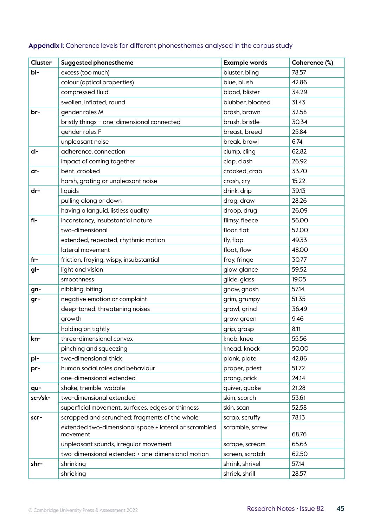| Cluster | <b>Suggested phonestheme</b>                                      | <b>Example words</b> | Coherence (%) |
|---------|-------------------------------------------------------------------|----------------------|---------------|
| bl-     | excess (too much)                                                 | bluster, bling       | 78.57         |
|         | colour (optical properties)                                       | blue, blush          | 42.86         |
|         | compressed fluid                                                  | blood, blister       | 34.29         |
|         | swollen, inflated, round                                          | blubber, bloated     | 31.43         |
| br-     | gender roles M                                                    | brash, brawn         | 32.58         |
|         | bristly things - one-dimensional connected                        | brush, bristle       | 30.34         |
|         | gender roles F                                                    | breast, breed        | 25.84         |
|         | unpleasant noise                                                  | break, brawl         | 6.74          |
| cl-     | adherence, connection                                             | clump, cling         | 62.82         |
|         | impact of coming together                                         | clap, clash          | 26.92         |
| $cr-$   | bent, crooked                                                     | crooked, crab        | 33.70         |
|         | harsh, grating or unpleasant noise                                | crash, cry           | 15.22         |
| dr-     | liquids                                                           | drink, drip          | 39.13         |
|         | pulling along or down                                             | drag, draw           | 28.26         |
|         | having a languid, listless quality                                | droop, drug          | 26.09         |
| $f$  -  | inconstancy, insubstantial nature                                 | flimsy, fleece       | 56.00         |
|         | two-dimensional                                                   | floor, flat          | 52.00         |
|         | extended, repeated, rhythmic motion                               | fly, flap            | 49.33         |
|         | lateral movement                                                  | float, flow          | 48.00         |
| $fr-$   | friction, fraying, wispy, insubstantial                           | fray, fringe         | 30.77         |
| gl-     | light and vision                                                  | glow, glance         | 59.52         |
|         | smoothness                                                        | glide, glass         | 19.05         |
| gn-     | nibbling, biting                                                  | gnaw, gnash          | 57.14         |
| gr-     | negative emotion or complaint                                     | grim, grumpy         | 51.35         |
|         | deep-toned, threatening noises                                    | growl, grind         | 36.49         |
|         | growth                                                            | grow, green          | 9.46          |
|         | holding on tightly                                                | grip, grasp          | 8.11          |
| kn-     | three-dimensional convex                                          | knob, knee           | 55.56         |
|         | pinching and squeezing                                            | knead, knock         | 50.00         |
| pl-     | two-dimensional thick                                             | plank, plate         | 42.86         |
| pr-     | human social roles and behaviour                                  | proper, priest       | 51.72         |
|         | one-dimensional extended                                          | prong, prick         | 24.14         |
| qu-     | shake, tremble, wobble                                            | quiver, quake        | 21.28         |
| sc-/sk- | two-dimensional extended                                          | skim, scorch         | 53.61         |
|         | superficial movement, surfaces, edges or thinness                 | skin, scan           | 52.58         |
| scr-    | scrapped and scrunched; fragments of the whole                    | scrap, scruffy       | 78.13         |
|         | extended two-dimensional space + lateral or scrambled<br>movement | scramble, screw      | 68.76         |
|         | unpleasant sounds, irregular movement                             | scrape, scream       | 65.63         |
|         | two-dimensional extended + one-dimensional motion                 | screen, scratch      | 62.50         |
| shr-    | shrinking                                                         | shrink, shrivel      | 57.14         |
|         | shrieking                                                         | shriek, shrill       | 28.57         |

#### **Appendix 1**: Coherence levels for different phonesthemes analysed in the corpus study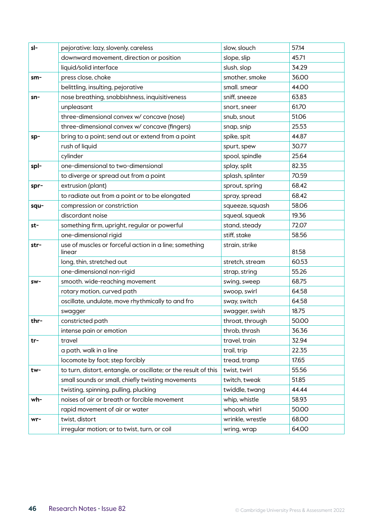| sl-  | pejorative: lazy, slovenly, careless                             | slow, slouch     | 57.14 |
|------|------------------------------------------------------------------|------------------|-------|
|      | downward movement, direction or position                         | slope, slip      | 45.71 |
|      | liquid/solid interface                                           | slush, slop      | 34.29 |
| sm-  | press close, choke                                               | smother, smoke   | 36.00 |
|      | belittling, insulting, pejorative                                | small. smear     | 44.00 |
| sn-  | nose breathing, snobbishness, inquisitiveness                    | sniff, sneeze    | 63.83 |
|      | unpleasant                                                       | snort, sneer     | 61.70 |
|      | three-dimensional convex w/ concave (nose)                       | snub, snout      | 51.06 |
|      | three-dimensional convex w/ concave (fingers)                    | snap, snip       | 25.53 |
| sp-  | bring to a point; send out or extend from a point                | spike, spit      | 44.87 |
|      | rush of liquid                                                   | spurt, spew      | 30.77 |
|      | cylinder                                                         | spool, spindle   | 25.64 |
| spl- | one-dimensional to two-dimensional                               | splay, split     | 82.35 |
|      | to diverge or spread out from a point                            | splash, splinter | 70.59 |
| spr- | extrusion (plant)                                                | sprout, spring   | 68.42 |
|      | to radiate out from a point or to be elongated                   | spray, spread    | 68.42 |
| squ- | compression or constriction                                      | squeeze, squash  | 58.06 |
|      | discordant noise                                                 | squeal, squeak   | 19.36 |
| st-  | something firm, upright, regular or powerful                     | stand, steady    | 72.07 |
|      | one-dimensional rigid                                            | stiff, stake     | 58.56 |
| str- | use of muscles or forceful action in a line; something<br>linear | strain, strike   | 81.58 |
|      | long, thin, stretched out                                        | stretch, stream  | 60.53 |
|      | one-dimensional non-rigid                                        | strap, string    | 55.26 |
| sw-  | smooth. wide-reaching movement                                   | swing, sweep     | 68.75 |
|      | rotary motion, curved path                                       | swoop, swirl     | 64.58 |
|      | oscillate, undulate, move rhythmically to and fro                | sway, switch     | 64.58 |
|      | swagger                                                          | swagger, swish   | 18.75 |
| thr- | constricted path                                                 | throat, through  | 50.00 |
|      | intense pain or emotion                                          | throb, thrash    | 36.36 |
| tr-  | travel                                                           | travel, train    | 32.94 |
|      | a path, walk in a line                                           | trail, trip      | 22.35 |
|      | locomote by foot; step forcibly                                  | tread, tramp     | 17.65 |
| tw-  | to turn, distort, entangle, or oscillate; or the result of this  | twist, twirl     | 55.56 |
|      | small sounds or small, chiefly twisting movements                | twitch, tweak    | 51.85 |
|      | twisting, spinning, pulling, plucking                            | twiddle, twang   | 44.44 |
| wh-  | noises of air or breath or forcible movement                     | whip, whistle    | 58.93 |
|      | rapid movement of air or water                                   | whoosh, whirl    | 50.00 |
| wr-  | twist, distort                                                   | wrinkle, wrestle | 68.00 |
|      | irregular motion; or to twist, turn, or coil                     | wring, wrap      | 64.00 |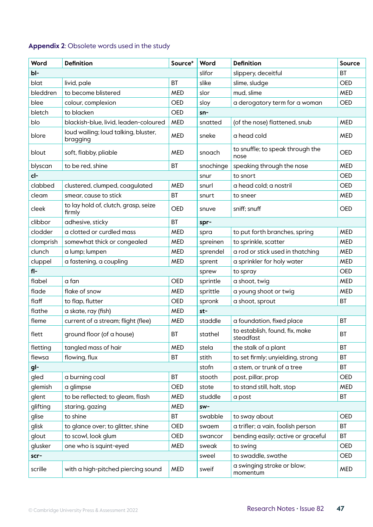### **Appendix 2**: Obsolete words used in the study

| Word      | <b>Definition</b>                                | Source*    | Word      | <b>Definition</b>                           | <b>Source</b> |
|-----------|--------------------------------------------------|------------|-----------|---------------------------------------------|---------------|
| bl-       |                                                  |            | slifor    | slippery, deceitful                         | BT            |
| blat      | livid, pale                                      | <b>BT</b>  | slike     | slime, sludge                               | <b>OED</b>    |
| bleddren  | to become blistered                              | <b>MED</b> | slor      | mud, slime                                  | <b>MED</b>    |
| blee      | colour, complexion                               | <b>OED</b> | sloy      | a derogatory term for a woman               | <b>OED</b>    |
| bletch    | to blacken                                       | <b>OED</b> | $sn-$     |                                             |               |
| blo       | blackish-blue, livid, leaden-coloured            | <b>MED</b> | snatted   | (of the nose) flattened, snub               | <b>MED</b>    |
| blore     | loud wailing; loud talking, bluster,<br>bragging | <b>MED</b> | sneke     | a head cold                                 | <b>MED</b>    |
| blout     | soft, flabby, pliable                            | <b>MED</b> | snoach    | to snuffle; to speak through the<br>nose    | <b>OED</b>    |
| blyscan   | to be red, shine                                 | <b>BT</b>  | snochinge | speaking through the nose                   | <b>MED</b>    |
| cl-       |                                                  |            | snur      | to snort                                    | <b>OED</b>    |
| clabbed   | clustered, clumped, coaqulated                   | <b>MED</b> | snurl     | a head cold; a nostril                      | <b>OED</b>    |
| cleam     | smear, cause to stick                            | <b>BT</b>  | snurt     | to sneer                                    | <b>MED</b>    |
| cleek     | to lay hold of, clutch, grasp, seize<br>firmly   | <b>OED</b> | snuve     | sniff; snuff                                | <b>OED</b>    |
| clibbor   | adhesive, sticky                                 | <b>BT</b>  | spr-      |                                             |               |
| clodder   | a clotted or curdled mass                        | <b>MED</b> | spra      | to put forth branches, spring               | <b>MED</b>    |
| clomprish | somewhat thick or congealed                      | <b>MED</b> | spreinen  | to sprinkle, scatter                        | <b>MED</b>    |
| clunch    | a lump; lumpen                                   | <b>MED</b> | sprendel  | a rod or stick used in thatching            | <b>MED</b>    |
| cluppel   | a fastening, a coupling                          | <b>MED</b> | sprent    | a sprinkler for holy water                  | <b>MED</b>    |
| $f$  -    |                                                  |            | sprew     | to spray                                    | <b>OED</b>    |
| flabel    | a fan                                            | <b>OED</b> | sprintle  | a shoot, twig                               | <b>MED</b>    |
| flade     | flake of snow                                    | <b>MED</b> | sprittle  | a young shoot or twig                       | <b>MED</b>    |
| flaff     | to flap, flutter                                 | <b>OED</b> | spronk    | a shoot, sprout                             | <b>BT</b>     |
| flathe    | a skate, ray (fish)                              | <b>MED</b> | st-       |                                             |               |
| fleme     | current of a stream; flight (flee)               | <b>MED</b> | staddle   | a foundation, fixed place                   | <b>BT</b>     |
| flett     | ground floor (of a house)                        | BT         | stathel   | to establish, found, fix, make<br>steadfast | BT            |
| fletting  | tangled mass of hair                             | <b>MED</b> | stela     | the stalk of a plant                        | BT            |
| flewsa    | flowing, flux                                    | <b>BT</b>  | stith     | to set firmly; unyielding, strong           | BT            |
| gl-       |                                                  |            | stofn     | a stem, or trunk of a tree                  | BT            |
| gled      | a burning coal                                   | <b>BT</b>  | stooth    | post, pillar, prop                          | <b>OED</b>    |
| glemish   | a glimpse                                        | OED        | stote     | to stand still, halt, stop                  | <b>MED</b>    |
| glent     | to be reflected; to gleam, flash                 | <b>MED</b> | studdle   | a post                                      | <b>BT</b>     |
| glifting  | staring, gazing                                  | <b>MED</b> | sw-       |                                             |               |
| glise     | to shine                                         | BT         | swabble   | to sway about                               | <b>OED</b>    |
| glisk     | to glance over; to glitter, shine                | OED        | swaem     | a trifler; a vain, foolish person           | BT            |
| glout     | to scowl, look glum                              | OED        | swancor   | bending easily; active or graceful          | BT            |
| glusker   | one who is squint-eyed                           | <b>MED</b> | sweak     | to swing                                    | <b>OED</b>    |
| scr-      |                                                  |            | sweel     | to swaddle, swathe                          | OED           |
| scrille   | with a high-pitched piercing sound               | <b>MED</b> | sweif     | a swinging stroke or blow;<br>momentum      | <b>MED</b>    |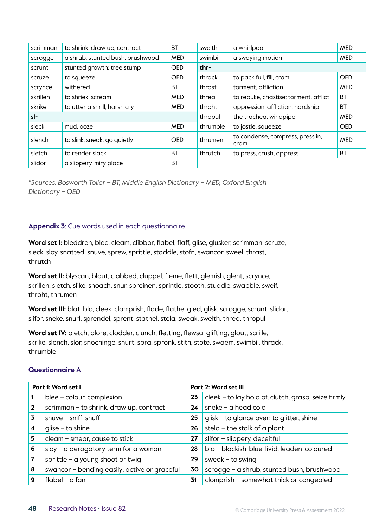| scrimman | to shrink, draw up, contract     | <b>BT</b>  | swelth   | a whirlpool                              | <b>MED</b> |
|----------|----------------------------------|------------|----------|------------------------------------------|------------|
| scrogge  | a shrub, stunted bush, brushwood | <b>MED</b> | swimbil  | a swaying motion                         | <b>MED</b> |
| scrunt   | stunted growth; tree stump       | <b>OED</b> | thr-     |                                          |            |
| scruze   | to squeeze                       | <b>OED</b> | thrack   | to pack full, fill, cram                 | <b>OED</b> |
| scrynce  | withered                         | <b>BT</b>  | thrast   | torment, affliction                      | <b>MED</b> |
| skrillen | to shriek, scream                | <b>MED</b> | threa    | to rebuke, chastise; torment, afflict    | <b>BT</b>  |
| skrike   | to utter a shrill, harsh cry     | <b>MED</b> | throht   | oppression, affliction, hardship         | <b>BT</b>  |
| sl-      |                                  |            | thropul  | the trachea, windpipe                    | <b>MED</b> |
| sleck    | mud, ooze                        | <b>MED</b> | thrumble | to jostle, squeeze                       | <b>OED</b> |
| slench   | to slink, sneak, go quietly      | <b>OED</b> | thrumen  | to condense, compress, press in,<br>cram | <b>MED</b> |
| sletch   | to render slack                  | <b>BT</b>  | thrutch  | to press, crush, oppress                 | <b>BT</b>  |
| slidor   | a slippery, miry place           | <b>BT</b>  |          |                                          |            |

*\*Sources: Bosworth Toller – BT, Middle English Dictionary – MED, Oxford English Dictionary – OED*

#### **Appendix 3**: Cue words used in each questionnaire

Word set I: bleddren, blee, cleam, clibbor, flabel, flaff, glise, glusker, scrimman, scruze, sleck, sloy, snatted, snuve, sprew, sprittle, staddle, stofn, swancor, sweel, thrast, thrutch

Word set II: blyscan, blout, clabbed, cluppel, fleme, flett, glemish, glent, scrynce, skrillen, sletch, slike, snoach, snur, spreinen, sprintle, stooth, studdle, swabble, sweif, throht, thrumen

**Word set III:** blat, blo, cleek, clomprish, flade, flathe, gled, glisk, scrogge, scrunt, slidor, slifor, sneke, snurl, sprendel, sprent, stathel, stela, sweak, swelth, threa, thropul

**Word set IV:** bletch, blore, clodder, clunch, fletting, flewsa, glifting, glout, scrille, skrike, slench, slor, snochinge, snurt, spra, spronk, stith, stote, swaem, swimbil, thrack, thrumble

#### **Questionnaire A**

| Part 1: Word set I |                                              | Part 2: Word set III |                                                     |
|--------------------|----------------------------------------------|----------------------|-----------------------------------------------------|
|                    | blee - colour, complexion                    | 23                   | cleek - to lay hold of, clutch, grasp, seize firmly |
| 2                  | scrimman - to shrink, draw up, contract      | 24                   | sneke – a head cold                                 |
| 3                  | snuve $-$ sniff; snuff                       | 25                   | glisk - to glance over; to glitter, shine           |
|                    | $glise - to shine$                           | 26                   | stela – the stalk of a plant                        |
| 5                  | cleam - smear, cause to stick                | 27                   | slifor - slippery, deceitful                        |
| 6                  | sloy - a derogatory term for a woman         | 28                   | blo - blackish-blue, livid, leaden-coloured         |
|                    | sprittle $-$ a young shoot or twig           | 29                   | sweak $-$ to swing                                  |
| 8                  | swancor - bending easily; active or graceful | 30                   | scrogge - a shrub, stunted bush, brushwood          |
| 9                  | $flabel - a fan$                             | 31                   | clomprish - somewhat thick or congealed             |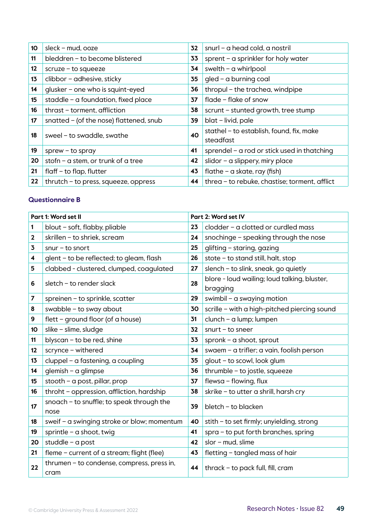| 10 | sleck - mud, ooze                       | 32 | snurl - a head cold, a nostril                        |
|----|-----------------------------------------|----|-------------------------------------------------------|
| 11 | bleddren - to become blistered          | 33 | sprent - a sprinkler for holy water                   |
| 12 | $scruze - to squareze$                  | 34 | swelth $-$ a whirlpool                                |
| 13 | clibbor - adhesive, sticky              | 35 | gled - a burning coal                                 |
| 14 | glusker - one who is squint-eyed        | 36 | thropul - the trachea, windpipe                       |
| 15 | staddle – a foundation, fixed place     | 37 | flade – flake of snow                                 |
| 16 | thrast - torment, affliction            | 38 | scrunt - stunted growth, tree stump                   |
| 17 | snatted - (of the nose) flattened, snub | 39 | blat - livid, pale                                    |
| 18 | sweel - to swaddle, swathe              | 40 | stathel - to establish, found, fix, make<br>steadfast |
| 19 | $sprew - to spray$                      | 41 | sprendel - a rod or stick used in thatching           |
| 20 | stofn - a stem, or trunk of a tree      | 42 | slidor - a slippery, miry place                       |
| 21 | $flat$ - to flap, flutter               | 43 | flathe – a skate, ray (fish)                          |
| 22 | $th$ rutch – to press, squeeze, oppress | 44 | threa - to rebuke, chastise; torment, afflict         |

#### **Questionnaire B**

| Part 1: Word set II     |                                                    | Part 2: Word set IV |                                                          |
|-------------------------|----------------------------------------------------|---------------------|----------------------------------------------------------|
| 1                       | blout - soft, flabby, pliable                      | 23                  | clodder - a clotted or curdled mass                      |
| $\mathbf{2}$            | skrillen - to shriek, scream                       | 24                  | snochinge - speaking through the nose                    |
| 3                       | $snur - to snort$                                  | 25                  | glifting - staring, gazing                               |
| 4                       | glent - to be reflected; to gleam, flash           | 26                  | stote - to stand still, halt, stop                       |
| 5                       | clabbed - clustered, clumped, coaqulated           | 27                  | slench - to slink, sneak, go quietly                     |
| 6                       | sletch - to render slack                           | 28                  | blore - loud wailing; loud talking, bluster,<br>bragging |
| $\overline{\mathbf{z}}$ | spreinen – to sprinkle, scatter                    | 29                  | swimbil – a swaying motion                               |
| 8                       | swabble $-$ to sway about                          | 30                  | scrille - with a high-pitched piercing sound             |
| 9                       | flett - ground floor (of a house)                  | 31                  | $clunch - a lump; lumpen$                                |
| 10                      | slike - slime, sludge                              | 32                  | $snurt - to sneer$                                       |
| 11                      | blyscan - to be red, shine                         | 33                  | spronk $-$ a shoot, sprout                               |
| 12                      | scrynce - withered                                 | 34                  | swaem - a trifler; a vain, foolish person                |
| 13                      | cluppel - a fastening, a coupling                  | 35                  | glout - to scowl, look glum                              |
| 14                      | $g$ lemish – a glimpse                             | 36                  | $th$ rumble - to jostle, squeeze                         |
| 15                      | stooth - a post, pillar, prop                      | 37                  | flewsa - flowing, flux                                   |
| 16                      | throht - oppression, affliction, hardship          | 38                  | skrike - to utter a shrill, harsh cry                    |
| 17                      | snoach - to snuffle; to speak through the<br>nose  | 39                  | bletch - to blacken                                      |
| 18                      | sweif - a swinging stroke or blow; momentum        | 40                  | stith - to set firmly; unyielding, strong                |
| 19                      | sprintle - $a$ shoot, twig                         | 41                  | $spra - to put forth branches, spring$                   |
| 20                      | studdle - a post                                   | 42                  | slor - mud, slime                                        |
| 21                      | fleme - current of a stream; flight (flee)         | 43                  | fletting - tangled mass of hair                          |
| 22                      | thrumen - to condense, compress, press in,<br>cram | 44                  | thrack - to pack full, fill, cram                        |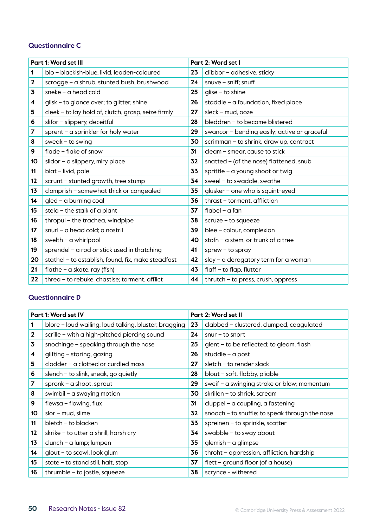#### **Questionnaire C**

| Part 1: Word set III |                                                     |    | Part 2: Word set I                           |  |
|----------------------|-----------------------------------------------------|----|----------------------------------------------|--|
| 1                    | blo - blackish-blue, livid, leaden-coloured         | 23 | clibbor - adhesive, sticky                   |  |
| 2                    | scrogge - a shrub, stunted bush, brushwood          | 24 | snuve $-$ sniff; snuff                       |  |
| 3                    | sneke $-$ a head cold                               | 25 | $glise - to shine$                           |  |
| 4                    | glisk - to glance over; to glitter, shine           | 26 | staddle - a foundation, fixed place          |  |
| 5                    | cleek - to lay hold of, clutch, grasp, seize firmly | 27 | sleck - mud, ooze                            |  |
| 6                    | slifor - slippery, deceitful                        | 28 | bleddren - to become blistered               |  |
| 7                    | sprent - a sprinkler for holy water                 | 29 | swancor - bending easily; active or graceful |  |
| 8                    | sweak $-$ to swing                                  | 30 | scrimman - to shrink, draw up, contract      |  |
| 9                    | flade - flake of snow                               | 31 | cleam - smear, cause to stick                |  |
| 10                   | slidor - a slippery, miry place                     | 32 | snatted $-$ (of the nose) flattened, snub    |  |
| 11                   | blat - livid, pale                                  | 33 | sprittle - a young shoot or twig             |  |
| 12                   | scrunt - stunted growth, tree stump                 | 34 | sweel - to swaddle, swathe                   |  |
| 13                   | clomprish - somewhat thick or congealed             | 35 | glusker - one who is squint-eyed             |  |
| 14                   | gled - a burning coal                               | 36 | thrast - torment, affliction                 |  |
| 15                   | stela – the stalk of a plant                        | 37 | $flabel - a fan$                             |  |
| 16                   | thropul - the trachea, windpipe                     | 38 | $scruze - to squareze$                       |  |
| 17                   | snurl - a head cold; a nostril                      | 39 | blee - colour, complexion                    |  |
| 18                   | swelth - a whirlpool                                | 40 | stofn - a stem, or trunk of a tree           |  |
| 19                   | sprendel - a rod or stick used in thatching         | 41 | $sprew - to spray$                           |  |
| 20                   | stathel - to establish, found, fix, make steadfast  | 42 | sloy - a derogatory term for a woman         |  |
| 21                   | flathe - a skate, ray (fish)                        | 43 | flaff - to flap, flutter                     |  |
| 22                   | threa - to rebuke, chastise; torment, afflict       | 44 | thrutch - to press, crush, oppress           |  |

#### **Questionnaire D**

| Part 1: Word set IV |                                                       | Part 2: Word set II |                                                  |
|---------------------|-------------------------------------------------------|---------------------|--------------------------------------------------|
|                     | blore - loud wailing; loud talking, bluster, bragging | 23                  | clabbed - clustered, clumped, coagulated         |
| $\overline{2}$      | scrille - with a high-pitched piercing sound          | 24                  | $snur - to snort$                                |
| 3                   | snochinge - speaking through the nose                 | 25                  | glent - to be reflected; to gleam, flash         |
| 4                   | glifting - staring, gazing                            | 26                  | studdle - a post                                 |
| 5                   | $c$ lodder – a clotted or curdled mass                | 27                  | sletch - to render slack                         |
| 6                   | slench - to slink, sneak, go quietly                  | 28                  | blout - soft, flabby, pliable                    |
| 7                   | spronk – a shoot, sprout                              | 29                  | sweif - a swinging stroke or blow; momentum      |
| 8                   | swimbil - a swaying motion                            | 30                  | skrillen - to shriek, scream                     |
| 9                   | flewsa - flowing, flux                                | 31                  | cluppel - a coupling, a fastening                |
| 10                  | $slor$ – mud, slime                                   | 32                  | $smooth - to snuffle; to speak through the nose$ |
| 11                  | bletch - to blacken                                   | 33                  | spreinen - to sprinkle, scatter                  |
| 12                  | skrike - to utter a shrill, harsh cry                 | 34                  | swabble - to sway about                          |
| 13                  | $clunch - a lump; lumpen$                             | 35                  | glemish - a glimpse                              |
| 14                  | glout - to scowl, look glum                           | 36                  | throht - oppression, affliction, hardship        |
| 15                  | stote $-$ to stand still, halt, stop                  | 37                  | flett – ground floor (of a house)                |
| 16                  | $th$ rumble – to jostle, squeeze                      | 38                  | scrynce - withered                               |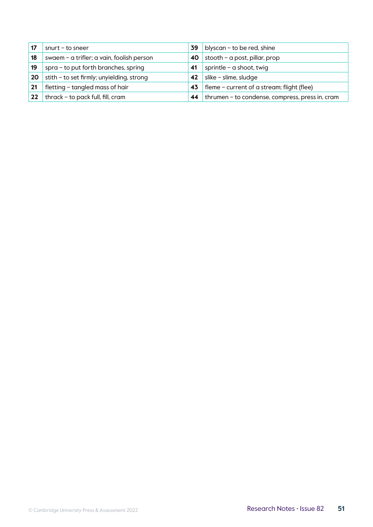|    | $snurt - to sneer$                        | 39 | blyscan - to be red, shine                      |
|----|-------------------------------------------|----|-------------------------------------------------|
| 18 | swaem - a trifler; a vain, foolish person | 40 | stooth - a post, pillar, prop                   |
| 19 | spra - to put forth branches, spring      | 41 | sprintle – a shoot, twig                        |
| 20 | stith - to set firmly; unyielding, strong | 42 | slike - slime, sludge                           |
| 21 | fletting - tangled mass of hair           | 43 | fleme - current of a stream; flight (flee)      |
| 22 | thrack - to pack full, fill, cram         | 44 | thrumen - to condense, compress, press in, cram |